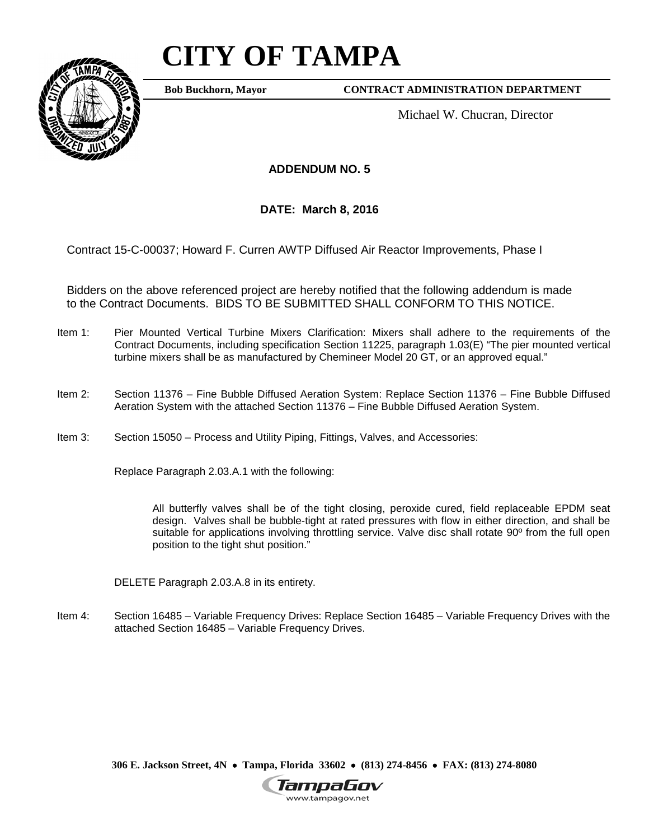# **CITY OF TAMPA**



**Bob Buckhorn, Mayor**

**CONTRACT ADMINISTRATION DEPARTMENT**

Michael W. Chucran, Director

**ADDENDUM NO. 5**

**DATE: March 8, 2016**

Contract 15-C-00037; Howard F. Curren AWTP Diffused Air Reactor Improvements, Phase I

Bidders on the above referenced project are hereby notified that the following addendum is made to the Contract Documents. BIDS TO BE SUBMITTED SHALL CONFORM TO THIS NOTICE.

- Item 1: Pier Mounted Vertical Turbine Mixers Clarification: Mixers shall adhere to the requirements of the Contract Documents, including specification Section 11225, paragraph 1.03(E) "The pier mounted vertical turbine mixers shall be as manufactured by Chemineer Model 20 GT, or an approved equal."
- Item 2: Section 11376 Fine Bubble Diffused Aeration System: Replace Section 11376 Fine Bubble Diffused Aeration System with the attached Section 11376 – Fine Bubble Diffused Aeration System.
- Item 3: Section 15050 Process and Utility Piping, Fittings, Valves, and Accessories:

Replace Paragraph 2.03.A.1 with the following:

All butterfly valves shall be of the tight closing, peroxide cured, field replaceable EPDM seat design. Valves shall be bubble-tight at rated pressures with flow in either direction, and shall be suitable for applications involving throttling service. Valve disc shall rotate 90<sup>°</sup> from the full open position to the tight shut position."

DELETE Paragraph 2.03.A.8 in its entirety.

Item 4: Section 16485 – Variable Frequency Drives: Replace Section 16485 – Variable Frequency Drives with the attached Section 16485 – Variable Frequency Drives.

**306 E. Jackson Street, 4N** • **Tampa, Florida 33602** • **(813) 274-8456** • **FAX: (813) 274-8080**

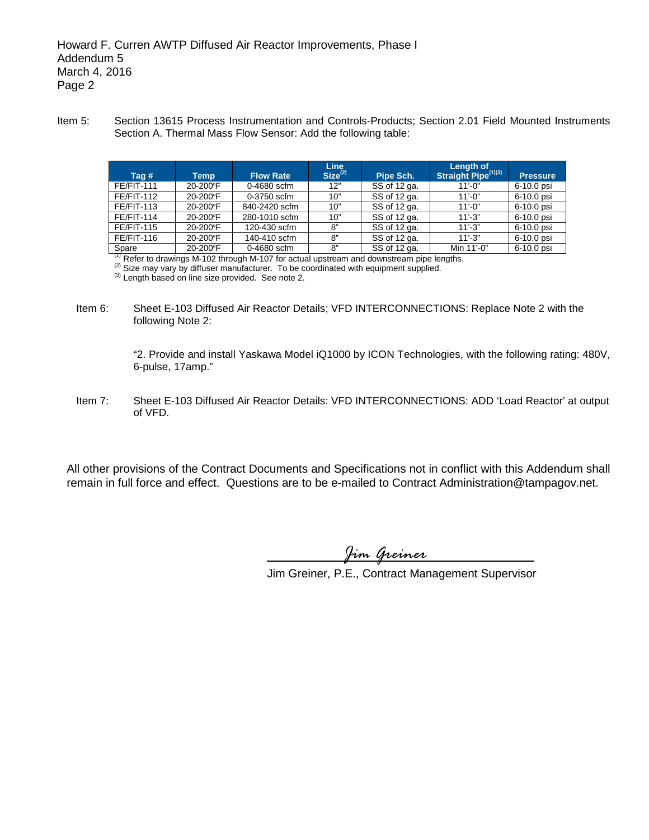Item 5: Section 13615 Process Instrumentation and Controls-Products; Section 2.01 Field Mounted Instruments Section A. Thermal Mass Flow Sensor: Add the following table:

| Tag #             | Temp     | <b>Flow Rate</b> | Line<br>Size <sup>(2)</sup> | Pipe Sch.    | <b>Length of</b><br>Straight Pipe <sup>(1)(3)</sup> | <b>Pressure</b> |
|-------------------|----------|------------------|-----------------------------|--------------|-----------------------------------------------------|-----------------|
| <b>FE/FIT-111</b> | 20-200°F | 0-4680 scfm      | 12"                         | SS of 12 ga. | $11' - 0''$                                         | 6-10.0 psi      |
| <b>FE/FIT-112</b> | 20-200°F | $0-3750$ scfm    | 10"                         | SS of 12 ga. | $11' - 0''$                                         | 6-10.0 psi      |
| <b>FE/FIT-113</b> | 20-200°F | 840-2420 scfm    | 10"                         | SS of 12 ga. | $11' - 0''$                                         | 6-10.0 psi      |
| <b>FE/FIT-114</b> | 20-200°F | 280-1010 scfm    | 10"                         | SS of 12 ga. | $11' - 3"$                                          | 6-10.0 psi      |
| <b>FE/FIT-115</b> | 20-200°F | 120-430 scfm     | 8"                          | SS of 12 ga. | $11' - 3"$                                          | 6-10.0 psi      |
| <b>FE/FIT-116</b> | 20-200°F | 140-410 scfm     | 8"                          | SS of 12 ga. | $11' - 3"$                                          | 6-10.0 psi      |
| Spare             | 20-200°F | 0-4680 scfm      | 8"                          | SS of 12 ga. | Min 11'-0"                                          | 6-10.0 psi      |

<sup>(1)</sup> Refer to drawings M-102 through M-107 for actual upstream and downstream pipe lengths.<br><sup>(2)</sup> Size may vary by diffuser manufacturer. To be coordinated with equipment supplied.<br><sup>(3)</sup> Length based on line size provide

Item 6: Sheet E-103 Diffused Air Reactor Details; VFD INTERCONNECTIONS: Replace Note 2 with the following Note 2:

> "2. Provide and install Yaskawa Model iQ1000 by ICON Technologies, with the following rating: 480V, 6-pulse, 17amp."

Item 7: Sheet E-103 Diffused Air Reactor Details: VFD INTERCONNECTIONS: ADD 'Load Reactor' at output of VFD.

All other provisions of the Contract Documents and Specifications not in conflict with this Addendum shall remain in full force and effect. Questions are to be e-mailed to Contract Administration@tampagov.net.

*Jim Greiner*

Jim Greiner, P.E., Contract Management Supervisor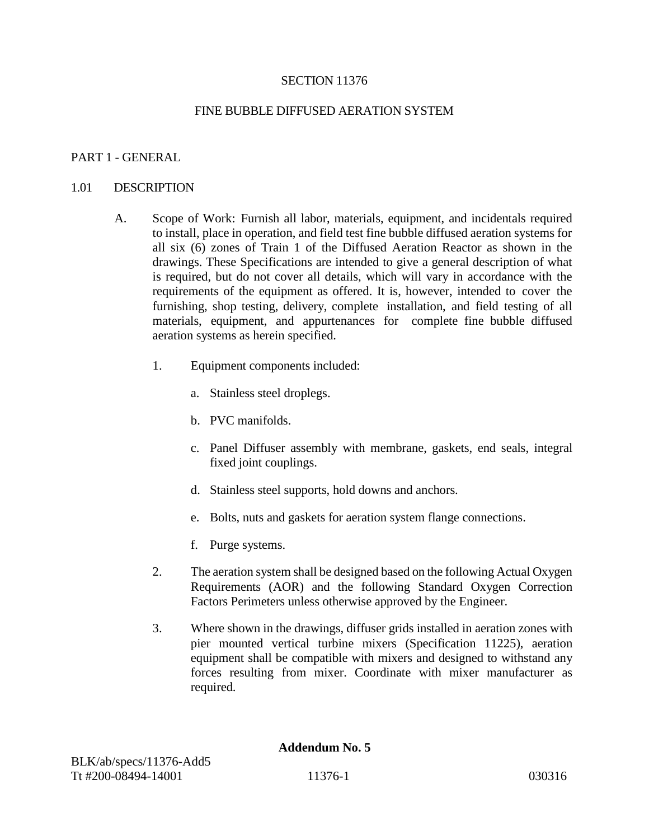## SECTION 11376

## FINE BUBBLE DIFFUSED AERATION SYSTEM

## PART 1 - GENERAL

#### 1.01 DESCRIPTION

- A. Scope of Work: Furnish all labor, materials, equipment, and incidentals required to install, place in operation, and field test fine bubble diffused aeration systems for all six (6) zones of Train 1 of the Diffused Aeration Reactor as shown in the drawings. These Specifications are intended to give a general description of what is required, but do not cover all details, which will vary in accordance with the requirements of the equipment as offered. It is, however, intended to cover the furnishing, shop testing, delivery, complete installation, and field testing of all materials, equipment, and appurtenances for complete fine bubble diffused aeration systems as herein specified.
	- 1. Equipment components included:
		- a. Stainless steel droplegs.
		- b. PVC manifolds.
		- c. Panel Diffuser assembly with membrane, gaskets, end seals, integral fixed joint couplings.
		- d. Stainless steel supports, hold downs and anchors.
		- e. Bolts, nuts and gaskets for aeration system flange connections.
		- f. Purge systems.
	- 2. The aeration system shall be designed based on the following Actual Oxygen Requirements (AOR) and the following Standard Oxygen Correction Factors Perimeters unless otherwise approved by the Engineer.
	- 3. Where shown in the drawings, diffuser grids installed in aeration zones with pier mounted vertical turbine mixers (Specification 11225), aeration equipment shall be compatible with mixers and designed to withstand any forces resulting from mixer. Coordinate with mixer manufacturer as required.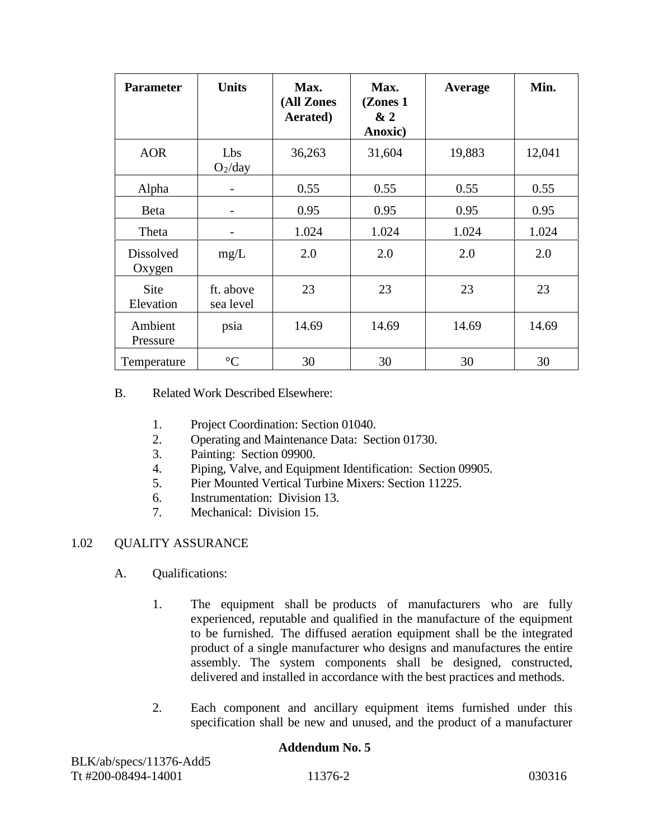| <b>Parameter</b>           | <b>Units</b>           | Max.<br>(All Zones<br>Aerated) | Max.<br>(Zones 1)<br>&2<br>Anoxic) | Average | Min.   |
|----------------------------|------------------------|--------------------------------|------------------------------------|---------|--------|
| <b>AOR</b>                 | Lbs<br>$O_2$ /day      | 36,263                         | 31,604                             | 19,883  | 12,041 |
| Alpha                      |                        | 0.55                           | 0.55                               | 0.55    | 0.55   |
| Beta                       |                        | 0.95                           | 0.95                               | 0.95    | 0.95   |
| Theta                      | -                      | 1.024                          | 1.024                              | 1.024   | 1.024  |
| <b>Dissolved</b><br>Oxygen | mg/L                   | 2.0                            | 2.0                                | 2.0     | 2.0    |
| Site<br>Elevation          | ft. above<br>sea level | 23                             | 23                                 | 23      | 23     |
| Ambient<br>Pressure        | psia                   | 14.69                          | 14.69                              | 14.69   | 14.69  |
| Temperature                | $\rm ^{\circ}C$        | 30                             | 30                                 | 30      | 30     |

## B. Related Work Described Elsewhere:

- 1. Project Coordination: Section 01040.
- 2. Operating and Maintenance Data: Section 01730.
- 3. Painting: Section 09900.
- 4. Piping, Valve, and Equipment Identification: Section 09905.
- 5. Pier Mounted Vertical Turbine Mixers: Section 11225.
- 6. Instrumentation: Division 13.
- 7. Mechanical: Division 15.

## 1.02 QUALITY ASSURANCE

- A. Qualifications:
	- 1. The equipment shall be products of manufacturers who are fully experienced, reputable and qualified in the manufacture of the equipment to be furnished. The diffused aeration equipment shall be the integrated product of a single manufacturer who designs and manufactures the entire assembly. The system components shall be designed, constructed, delivered and installed in accordance with the best practices and methods.
	- 2. Each component and ancillary equipment items furnished under this specification shall be new and unused, and the product of a manufacturer

| BLK/ab/specs/11376-Add5 |         |        |
|-------------------------|---------|--------|
| Tt #200-08494-14001     | 11376-2 | 030316 |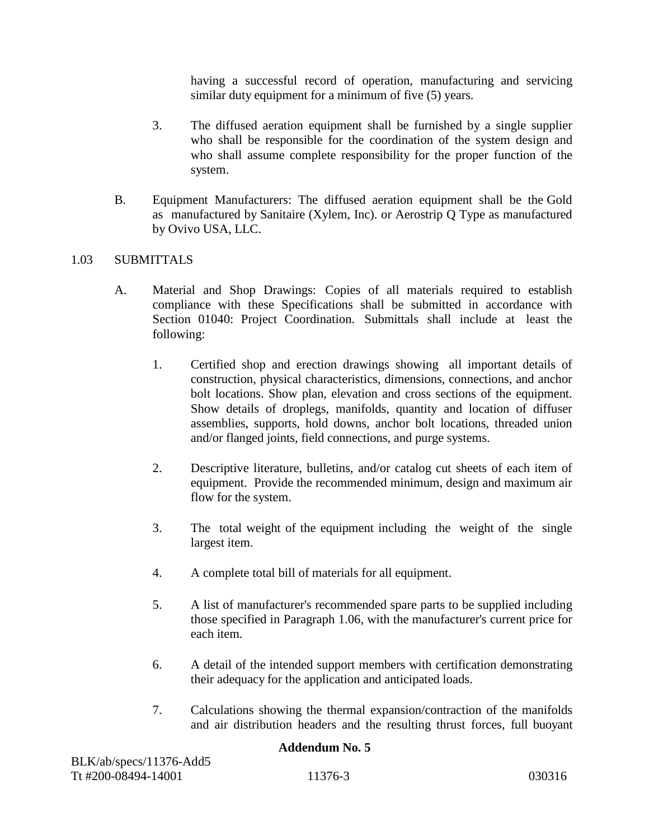having a successful record of operation, manufacturing and servicing similar duty equipment for a minimum of five (5) years.

- 3. The diffused aeration equipment shall be furnished by a single supplier who shall be responsible for the coordination of the system design and who shall assume complete responsibility for the proper function of the system.
- B. Equipment Manufacturers: The diffused aeration equipment shall be the Gold as manufactured by Sanitaire (Xylem, Inc). or Aerostrip Q Type as manufactured by Ovivo USA, LLC.

## 1.03 SUBMITTALS

- A. Material and Shop Drawings: Copies of all materials required to establish compliance with these Specifications shall be submitted in accordance with Section 01040: Project Coordination. Submittals shall include at least the following:
	- 1. Certified shop and erection drawings showing all important details of construction, physical characteristics, dimensions, connections, and anchor bolt locations. Show plan, elevation and cross sections of the equipment. Show details of droplegs, manifolds, quantity and location of diffuser assemblies, supports, hold downs, anchor bolt locations, threaded union and/or flanged joints, field connections, and purge systems.
	- 2. Descriptive literature, bulletins, and/or catalog cut sheets of each item of equipment. Provide the recommended minimum, design and maximum air flow for the system.
	- 3. The total weight of the equipment including the weight of the single largest item.
	- 4. A complete total bill of materials for all equipment.
	- 5. A list of manufacturer's recommended spare parts to be supplied including those specified in Paragraph 1.06, with the manufacturer's current price for each item.
	- 6. A detail of the intended support members with certification demonstrating their adequacy for the application and anticipated loads.
	- 7. Calculations showing the thermal expansion/contraction of the manifolds and air distribution headers and the resulting thrust forces, full buoyant

| BLK/ab/specs/11376-Add5 |         |        |
|-------------------------|---------|--------|
| Tt #200-08494-14001     | 11376-3 | 030316 |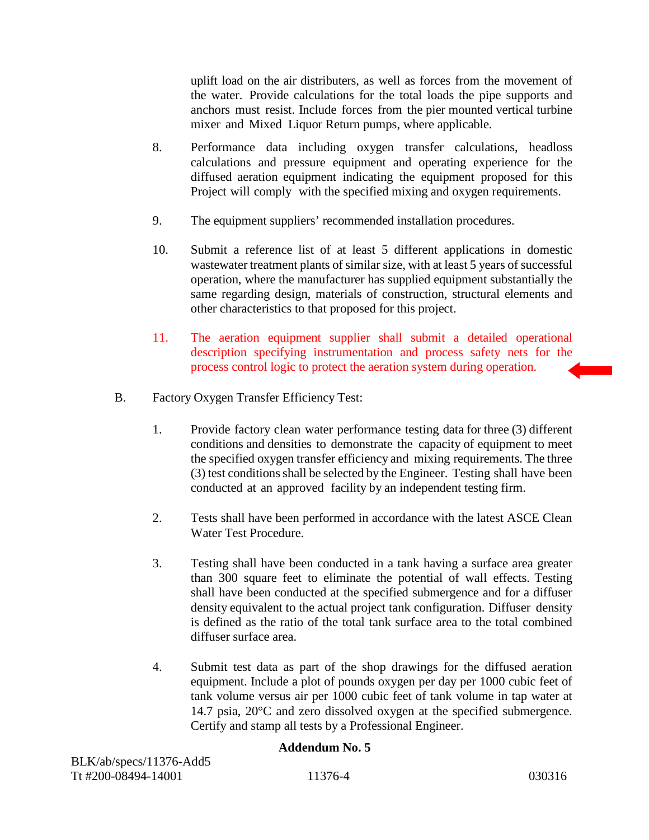uplift load on the air distributers, as well as forces from the movement of the water. Provide calculations for the total loads the pipe supports and anchors must resist. Include forces from the pier mounted vertical turbine mixer and Mixed Liquor Return pumps, where applicable.

- 8. Performance data including oxygen transfer calculations, headloss calculations and pressure equipment and operating experience for the diffused aeration equipment indicating the equipment proposed for this Project will comply with the specified mixing and oxygen requirements.
- 9. The equipment suppliers' recommended installation procedures.
- 10. Submit a reference list of at least 5 different applications in domestic wastewater treatment plants of similar size, with at least 5 years of successful operation, where the manufacturer has supplied equipment substantially the same regarding design, materials of construction, structural elements and other characteristics to that proposed for this project.
- 11. The aeration equipment supplier shall submit a detailed operational description specifying instrumentation and process safety nets for the process control logic to protect the aeration system during operation.
- B. Factory Oxygen Transfer Efficiency Test:
	- 1. Provide factory clean water performance testing data for three (3) different conditions and densities to demonstrate the capacity of equipment to meet the specified oxygen transfer efficiency and mixing requirements. The three (3) test conditions shall be selected by the Engineer. Testing shall have been conducted at an approved facility by an independent testing firm.
	- 2. Tests shall have been performed in accordance with the latest ASCE Clean Water Test Procedure.
	- 3. Testing shall have been conducted in a tank having a surface area greater than 300 square feet to eliminate the potential of wall effects. Testing shall have been conducted at the specified submergence and for a diffuser density equivalent to the actual project tank configuration. Diffuser density is defined as the ratio of the total tank surface area to the total combined diffuser surface area.
	- 4. Submit test data as part of the shop drawings for the diffused aeration equipment. Include a plot of pounds oxygen per day per 1000 cubic feet of tank volume versus air per 1000 cubic feet of tank volume in tap water at 14.7 psia, 20°C and zero dissolved oxygen at the specified submergence. Certify and stamp all tests by a Professional Engineer.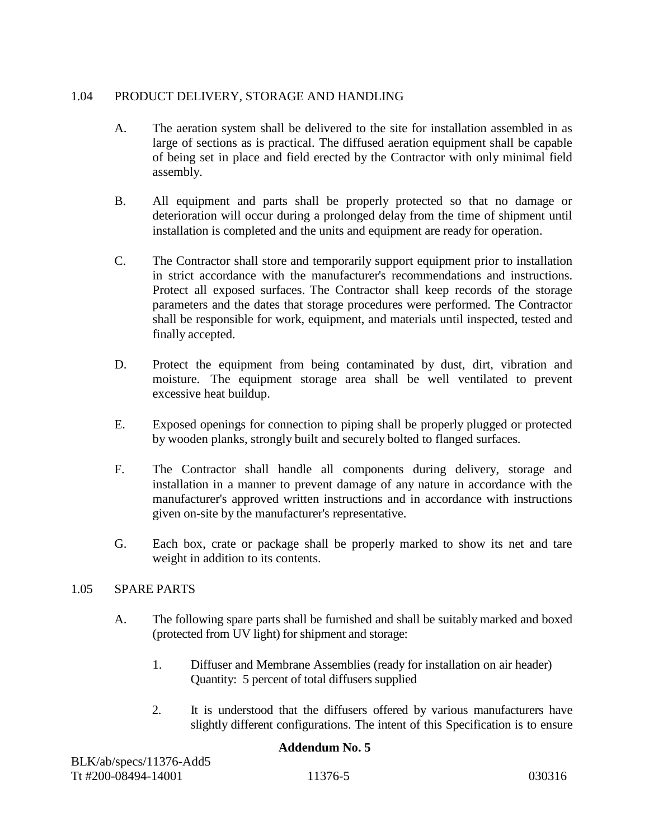# 1.04 PRODUCT DELIVERY, STORAGE AND HANDLING

- A. The aeration system shall be delivered to the site for installation assembled in as large of sections as is practical. The diffused aeration equipment shall be capable of being set in place and field erected by the Contractor with only minimal field assembly.
- B. All equipment and parts shall be properly protected so that no damage or deterioration will occur during a prolonged delay from the time of shipment until installation is completed and the units and equipment are ready for operation.
- C. The Contractor shall store and temporarily support equipment prior to installation in strict accordance with the manufacturer's recommendations and instructions. Protect all exposed surfaces. The Contractor shall keep records of the storage parameters and the dates that storage procedures were performed. The Contractor shall be responsible for work, equipment, and materials until inspected, tested and finally accepted.
- D. Protect the equipment from being contaminated by dust, dirt, vibration and moisture. The equipment storage area shall be well ventilated to prevent excessive heat buildup.
- E. Exposed openings for connection to piping shall be properly plugged or protected by wooden planks, strongly built and securely bolted to flanged surfaces.
- F. The Contractor shall handle all components during delivery, storage and installation in a manner to prevent damage of any nature in accordance with the manufacturer's approved written instructions and in accordance with instructions given on-site by the manufacturer's representative.
- G. Each box, crate or package shall be properly marked to show its net and tare weight in addition to its contents.

# 1.05 SPARE PARTS

- A. The following spare parts shall be furnished and shall be suitably marked and boxed (protected from UV light) for shipment and storage:
	- 1. Diffuser and Membrane Assemblies (ready for installation on air header) Quantity: 5 percent of total diffusers supplied
	- 2. It is understood that the diffusers offered by various manufacturers have slightly different configurations. The intent of this Specification is to ensure

| BLK/ab/specs/11376-Add5 |         |        |
|-------------------------|---------|--------|
| Tt #200-08494-14001     | 11376-5 | 030316 |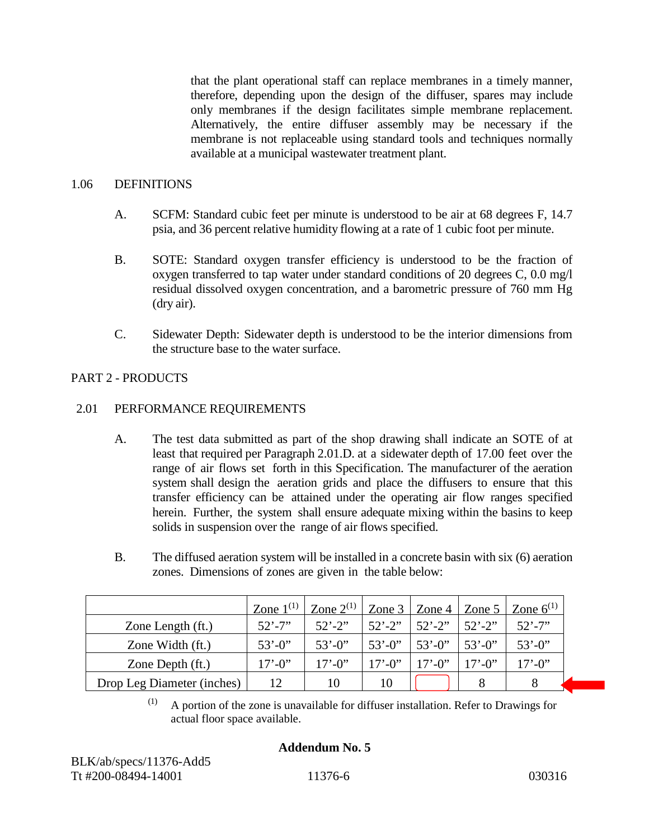that the plant operational staff can replace membranes in a timely manner, therefore, depending upon the design of the diffuser, spares may include only membranes if the design facilitates simple membrane replacement. Alternatively, the entire diffuser assembly may be necessary if the membrane is not replaceable using standard tools and techniques normally available at a municipal wastewater treatment plant.

#### 1.06 DEFINITIONS

- A. SCFM: Standard cubic feet per minute is understood to be air at 68 degrees F, 14.7 psia, and 36 percent relative humidity flowing at a rate of 1 cubic foot per minute.
- B. SOTE: Standard oxygen transfer efficiency is understood to be the fraction of oxygen transferred to tap water under standard conditions of 20 degrees C, 0.0 mg/l residual dissolved oxygen concentration, and a barometric pressure of 760 mm Hg (dry air).
- C. Sidewater Depth: Sidewater depth is understood to be the interior dimensions from the structure base to the water surface.

## PART 2 - PRODUCTS

## 2.01 PERFORMANCE REQUIREMENTS

- A. The test data submitted as part of the shop drawing shall indicate an SOTE of at least that required per Paragraph 2.01.D. at a sidewater depth of 17.00 feet over the range of air flows set forth in this Specification. The manufacturer of the aeration system shall design the aeration grids and place the diffusers to ensure that this transfer efficiency can be attained under the operating air flow ranges specified herein. Further, the system shall ensure adequate mixing within the basins to keep solids in suspension over the range of air flows specified.
- B. The diffused aeration system will be installed in a concrete basin with six (6) aeration zones. Dimensions of zones are given in the table below:

|                            | Zone $1^{(1)}$ | Zone $2^{(1)}$ |             | Zone $3 \mid$ Zone $4 \mid$ |             | Zone 5   Zone $6^{(1)}$ |
|----------------------------|----------------|----------------|-------------|-----------------------------|-------------|-------------------------|
| Zone Length (ft.)          | $52' - 7''$    | $52' - 2''$    | $52' - 2''$ | $52' - 2''$                 | $52' - 2''$ | $52' - 7''$             |
| Zone Width (ft.)           | $53' - 0$      | $53' - 0$      | $53' - 0$   | $53' - 0$                   | $53' - 0$   | $53' - 0$ "             |
| Zone Depth (ft.)           | $17' - 0''$    | $17' - 0''$    | $17' - 0''$ | $17' - 0''$                 | $17' - 0''$ | $17' - 0''$             |
| Drop Leg Diameter (inches) | 12             | 10             | 10          |                             |             |                         |

 $(1)$  A portion of the zone is unavailable for diffuser installation. Refer to Drawings for actual floor space available.

## **Addendum No. 5**

BLK/ab/specs/11376-Add5 Tt #200-08494-14001 11376-6 030316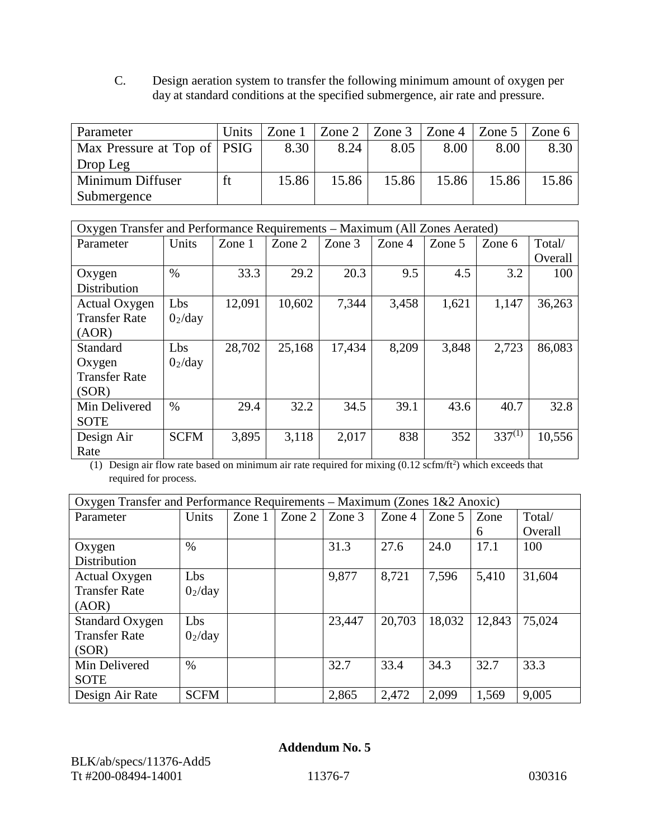C. Design aeration system to transfer the following minimum amount of oxygen per day at standard conditions at the specified submergence, air rate and pressure.

| Parameter                     | Units | Zone $1$ |       | Zone 2   Zone 3   Zone 4   Zone 5 |       |       | Zone 6 |
|-------------------------------|-------|----------|-------|-----------------------------------|-------|-------|--------|
| Max Pressure at Top of   PSIG |       | 8.30     | 8.24  | 8.05                              | 8.00  | 8.00  | 8.30   |
| Drop Leg                      |       |          |       |                                   |       |       |        |
| Minimum Diffuser              |       | 15.86    | 15.86 | 15.86                             | 15.86 | 15.86 | 15.86  |
| Submergence                   |       |          |       |                                   |       |       |        |

|                      | Oxygen Transfer and Performance Requirements – Maximum (All Zones Aerated) |          |        |        |        |          |             |         |
|----------------------|----------------------------------------------------------------------------|----------|--------|--------|--------|----------|-------------|---------|
| Parameter            | Units                                                                      | Zone $1$ | Zone 2 | Zone 3 | Zone 4 | Zone $5$ | Zone 6      | Total/  |
|                      |                                                                            |          |        |        |        |          |             | Overall |
| Oxygen               | $\%$                                                                       | 33.3     | 29.2   | 20.3   | 9.5    | 4.5      | 3.2         | 100     |
| Distribution         |                                                                            |          |        |        |        |          |             |         |
| Actual Oxygen        | Lbs                                                                        | 12,091   | 10,602 | 7,344  | 3,458  | 1,621    | 1,147       | 36,263  |
| <b>Transfer Rate</b> | 0 <sub>2</sub> /day                                                        |          |        |        |        |          |             |         |
| (AOR)                |                                                                            |          |        |        |        |          |             |         |
| Standard             | Lbs                                                                        | 28,702   | 25,168 | 17,434 | 8,209  | 3,848    | 2,723       | 86,083  |
| Oxygen               | 0 <sub>2</sub> /day                                                        |          |        |        |        |          |             |         |
| <b>Transfer Rate</b> |                                                                            |          |        |        |        |          |             |         |
| (SOR)                |                                                                            |          |        |        |        |          |             |         |
| Min Delivered        | $\frac{0}{0}$                                                              | 29.4     | 32.2   | 34.5   | 39.1   | 43.6     | 40.7        | 32.8    |
| <b>SOTE</b>          |                                                                            |          |        |        |        |          |             |         |
| Design Air           | <b>SCFM</b>                                                                | 3,895    | 3,118  | 2,017  | 838    | 352      | $337^{(1)}$ | 10,556  |
| Rate                 |                                                                            |          |        |        |        |          |             |         |

(1) Design air flow rate based on minimum air rate required for mixing  $(0.12 \text{ scfm/ft}^2)$  which exceeds that required for process.

| Oxygen Transfer and Performance Requirements – Maximum (Zones $1&2$ Anoxic) |                     |          |               |        |        |        |        |         |
|-----------------------------------------------------------------------------|---------------------|----------|---------------|--------|--------|--------|--------|---------|
| Parameter                                                                   | Units               | Zone $1$ | Zone $2 \mid$ | Zone 3 | Zone 4 | Zone 5 | Zone   | Total/  |
|                                                                             |                     |          |               |        |        |        | 6      | Overall |
| Oxygen                                                                      | $\%$                |          |               | 31.3   | 27.6   | 24.0   | 17.1   | 100     |
| Distribution                                                                |                     |          |               |        |        |        |        |         |
| Actual Oxygen                                                               | Lbs                 |          |               | 9,877  | 8,721  | 7,596  | 5,410  | 31,604  |
| <b>Transfer Rate</b>                                                        | 0 <sub>2</sub> /day |          |               |        |        |        |        |         |
| (AOR)                                                                       |                     |          |               |        |        |        |        |         |
| <b>Standard Oxygen</b>                                                      | Lbs                 |          |               | 23,447 | 20,703 | 18,032 | 12,843 | 75,024  |
| <b>Transfer Rate</b>                                                        | 0 <sub>2</sub> /day |          |               |        |        |        |        |         |
| (SOR)                                                                       |                     |          |               |        |        |        |        |         |
| Min Delivered                                                               | $\%$                |          |               | 32.7   | 33.4   | 34.3   | 32.7   | 33.3    |
| <b>SOTE</b>                                                                 |                     |          |               |        |        |        |        |         |
| Design Air Rate                                                             | <b>SCFM</b>         |          |               | 2,865  | 2,472  | 2,099  | 1,569  | 9,005   |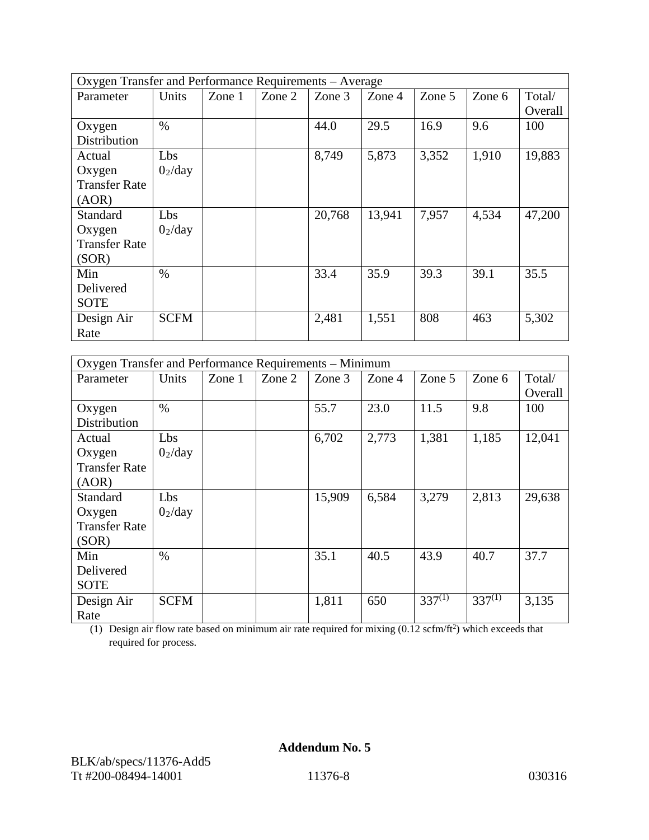| Oxygen Transfer and Performance Requirements – Average |                     |          |        |        |        |        |        |         |
|--------------------------------------------------------|---------------------|----------|--------|--------|--------|--------|--------|---------|
| Parameter                                              | Units               | Zone $1$ | Zone 2 | Zone 3 | Zone 4 | Zone 5 | Zone 6 | Total/  |
|                                                        |                     |          |        |        |        |        |        | Overall |
| Oxygen                                                 | $\%$                |          |        | 44.0   | 29.5   | 16.9   | 9.6    | 100     |
| Distribution                                           |                     |          |        |        |        |        |        |         |
| Actual                                                 | Lbs                 |          |        | 8,749  | 5,873  | 3,352  | 1,910  | 19,883  |
| Oxygen                                                 | 0 <sub>2</sub> /day |          |        |        |        |        |        |         |
| <b>Transfer Rate</b>                                   |                     |          |        |        |        |        |        |         |
| (AOR)                                                  |                     |          |        |        |        |        |        |         |
| Standard                                               | Lbs                 |          |        | 20,768 | 13,941 | 7,957  | 4,534  | 47,200  |
| Oxygen                                                 | 0 <sub>2</sub> /day |          |        |        |        |        |        |         |
| <b>Transfer Rate</b>                                   |                     |          |        |        |        |        |        |         |
| (SOR)                                                  |                     |          |        |        |        |        |        |         |
| Min                                                    | $\%$                |          |        | 33.4   | 35.9   | 39.3   | 39.1   | 35.5    |
| Delivered                                              |                     |          |        |        |        |        |        |         |
| <b>SOTE</b>                                            |                     |          |        |        |        |        |        |         |
| Design Air                                             | <b>SCFM</b>         |          |        | 2,481  | 1,551  | 808    | 463    | 5,302   |
| Rate                                                   |                     |          |        |        |        |        |        |         |

|                      | Oxygen Transfer and Performance Requirements - Minimum |          |        |        |        |             |             |         |
|----------------------|--------------------------------------------------------|----------|--------|--------|--------|-------------|-------------|---------|
| Parameter            | Units                                                  | Zone $1$ | Zone 2 | Zone 3 | Zone 4 | Zone 5      | Zone 6      | Total/  |
|                      |                                                        |          |        |        |        |             |             | Overall |
| Oxygen               | $\%$                                                   |          |        | 55.7   | 23.0   | 11.5        | 9.8         | 100     |
| Distribution         |                                                        |          |        |        |        |             |             |         |
| Actual               | Lbs                                                    |          |        | 6,702  | 2,773  | 1,381       | 1,185       | 12,041  |
| Oxygen               | 0 <sub>2</sub> /day                                    |          |        |        |        |             |             |         |
| <b>Transfer Rate</b> |                                                        |          |        |        |        |             |             |         |
| (AOR)                |                                                        |          |        |        |        |             |             |         |
| Standard             | Lbs                                                    |          |        | 15,909 | 6,584  | 3,279       | 2,813       | 29,638  |
| Oxygen               | 0 <sub>2</sub> /day                                    |          |        |        |        |             |             |         |
| <b>Transfer Rate</b> |                                                        |          |        |        |        |             |             |         |
| (SOR)                |                                                        |          |        |        |        |             |             |         |
| Min                  | $\%$                                                   |          |        | 35.1   | 40.5   | 43.9        | 40.7        | 37.7    |
| Delivered            |                                                        |          |        |        |        |             |             |         |
| <b>SOTE</b>          |                                                        |          |        |        |        |             |             |         |
| Design Air           | <b>SCFM</b>                                            |          |        | 1,811  | 650    | $337^{(1)}$ | $337^{(1)}$ | 3,135   |
| Rate                 |                                                        |          |        |        |        |             |             |         |

(1) Design air flow rate based on minimum air rate required for mixing  $(0.12 \text{ scfm/ft}^2)$  which exceeds that required for process.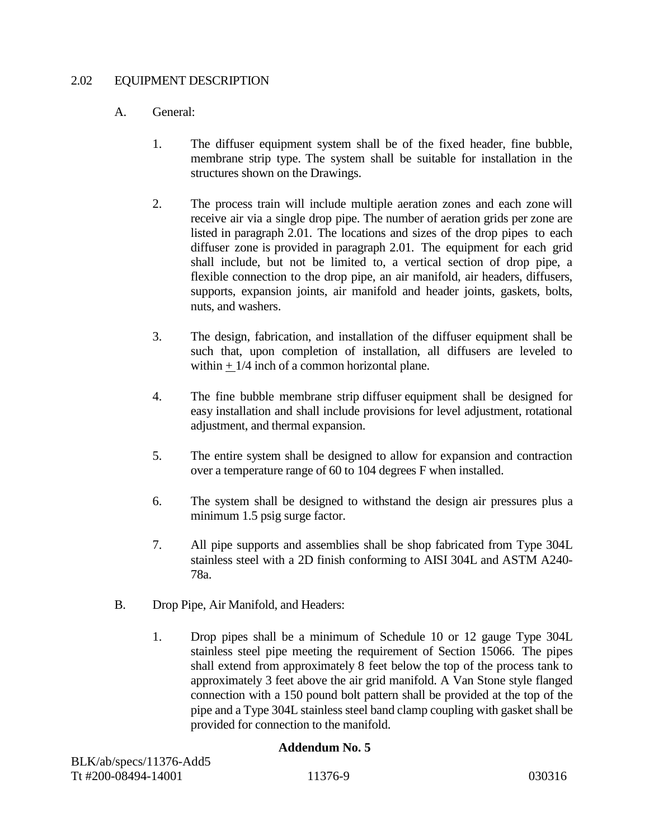## 2.02 EQUIPMENT DESCRIPTION

## A. General:

- 1. The diffuser equipment system shall be of the fixed header, fine bubble, membrane strip type. The system shall be suitable for installation in the structures shown on the Drawings.
- 2. The process train will include multiple aeration zones and each zone will receive air via a single drop pipe. The number of aeration grids per zone are listed in paragraph 2.01. The locations and sizes of the drop pipes to each diffuser zone is provided in paragraph 2.01. The equipment for each grid shall include, but not be limited to, a vertical section of drop pipe, a flexible connection to the drop pipe, an air manifold, air headers, diffusers, supports, expansion joints, air manifold and header joints, gaskets, bolts, nuts, and washers.
- 3. The design, fabrication, and installation of the diffuser equipment shall be such that, upon completion of installation, all diffusers are leveled to within  $+1/4$  inch of a common horizontal plane.
- 4. The fine bubble membrane strip diffuser equipment shall be designed for easy installation and shall include provisions for level adjustment, rotational adjustment, and thermal expansion.
- 5. The entire system shall be designed to allow for expansion and contraction over a temperature range of 60 to 104 degrees F when installed.
- 6. The system shall be designed to withstand the design air pressures plus a minimum 1.5 psig surge factor.
- 7. All pipe supports and assemblies shall be shop fabricated from Type 304L stainless steel with a 2D finish conforming to AISI 304L and ASTM A240- 78a.
- B. Drop Pipe, Air Manifold, and Headers:
	- 1. Drop pipes shall be a minimum of Schedule 10 or 12 gauge Type 304L stainless steel pipe meeting the requirement of Section 15066. The pipes shall extend from approximately 8 feet below the top of the process tank to approximately 3 feet above the air grid manifold. A Van Stone style flanged connection with a 150 pound bolt pattern shall be provided at the top of the pipe and a Type 304L stainless steel band clamp coupling with gasket shall be provided for connection to the manifold.

| BLK/ab/specs/11376-Add5 |         |        |
|-------------------------|---------|--------|
| Tt #200-08494-14001     | 11376-9 | 030316 |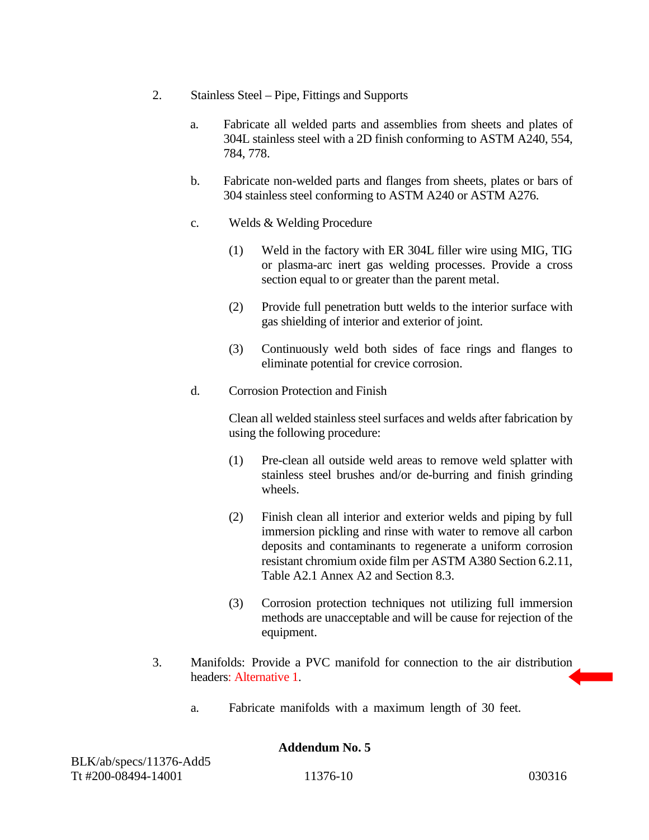- 2. Stainless Steel Pipe, Fittings and Supports
	- a. Fabricate all welded parts and assemblies from sheets and plates of 304L stainless steel with a 2D finish conforming to ASTM A240, 554, 784, 778.
	- b. Fabricate non-welded parts and flanges from sheets, plates or bars of 304 stainless steel conforming to ASTM A240 or ASTM A276.
	- c. Welds & Welding Procedure
		- (1) Weld in the factory with ER 304L filler wire using MIG, TIG or plasma-arc inert gas welding processes. Provide a cross section equal to or greater than the parent metal.
		- (2) Provide full penetration butt welds to the interior surface with gas shielding of interior and exterior of joint.
		- (3) Continuously weld both sides of face rings and flanges to eliminate potential for crevice corrosion.
	- d. Corrosion Protection and Finish

Clean all welded stainless steel surfaces and welds after fabrication by using the following procedure:

- (1) Pre-clean all outside weld areas to remove weld splatter with stainless steel brushes and/or de-burring and finish grinding wheels.
- (2) Finish clean all interior and exterior welds and piping by full immersion pickling and rinse with water to remove all carbon deposits and contaminants to regenerate a uniform corrosion resistant chromium oxide film per ASTM A380 Section 6.2.11, Table A2.1 Annex A2 and Section 8.3.
- (3) Corrosion protection techniques not utilizing full immersion methods are unacceptable and will be cause for rejection of the equipment.
- 3. Manifolds: Provide a PVC manifold for connection to the air distribution headers: Alternative 1.
	- a. Fabricate manifolds with a maximum length of 30 feet.

BLK/ab/specs/11376-Add5 Tt #200-08494-14001 11376-10 030316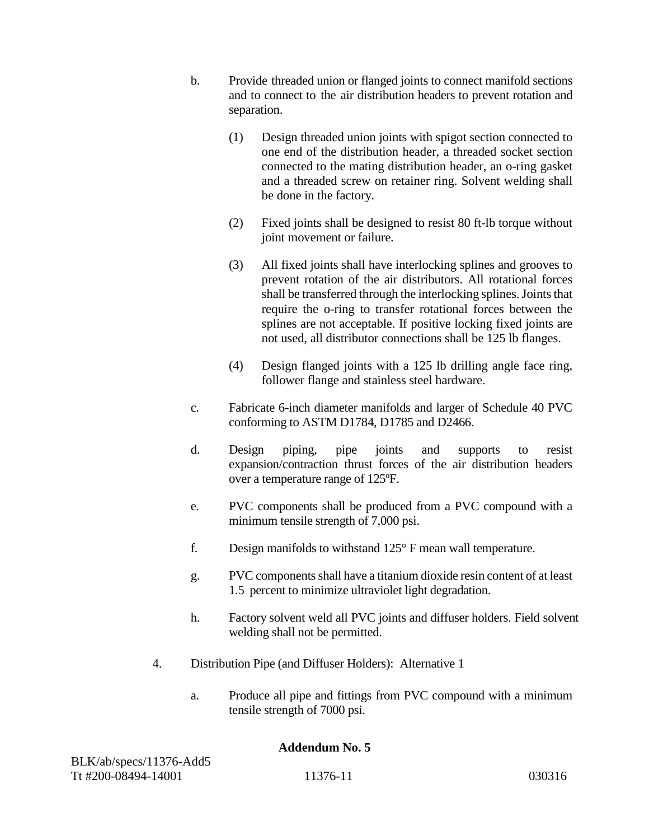- b. Provide threaded union or flanged joints to connect manifold sections and to connect to the air distribution headers to prevent rotation and separation.
	- (1) Design threaded union joints with spigot section connected to one end of the distribution header, a threaded socket section connected to the mating distribution header, an o-ring gasket and a threaded screw on retainer ring. Solvent welding shall be done in the factory.
	- (2) Fixed joints shall be designed to resist 80 ft-lb torque without joint movement or failure.
	- (3) All fixed joints shall have interlocking splines and grooves to prevent rotation of the air distributors. All rotational forces shall be transferred through the interlocking splines. Joints that require the o-ring to transfer rotational forces between the splines are not acceptable. If positive locking fixed joints are not used, all distributor connections shall be 125 lb flanges.
	- (4) Design flanged joints with a 125 lb drilling angle face ring, follower flange and stainless steel hardware.
- c. Fabricate 6-inch diameter manifolds and larger of Schedule 40 PVC conforming to ASTM D1784, D1785 and D2466.
- d. Design piping, pipe joints and supports to resist expansion/contraction thrust forces of the air distribution headers over a temperature range of 125ºF.
- e. PVC components shall be produced from a PVC compound with a minimum tensile strength of 7,000 psi.
- f. Design manifolds to withstand 125° F mean wall temperature.
- g. PVC components shall have a titanium dioxide resin content of at least 1.5 percent to minimize ultraviolet light degradation.
- h. Factory solvent weld all PVC joints and diffuser holders. Field solvent welding shall not be permitted.
- 4. Distribution Pipe (and Diffuser Holders): Alternative 1
	- a. Produce all pipe and fittings from PVC compound with a minimum tensile strength of 7000 psi.

| BLK/ab/specs/11376-Add5 |          |        |
|-------------------------|----------|--------|
| Tt #200-08494-14001     | 11376-11 | 030316 |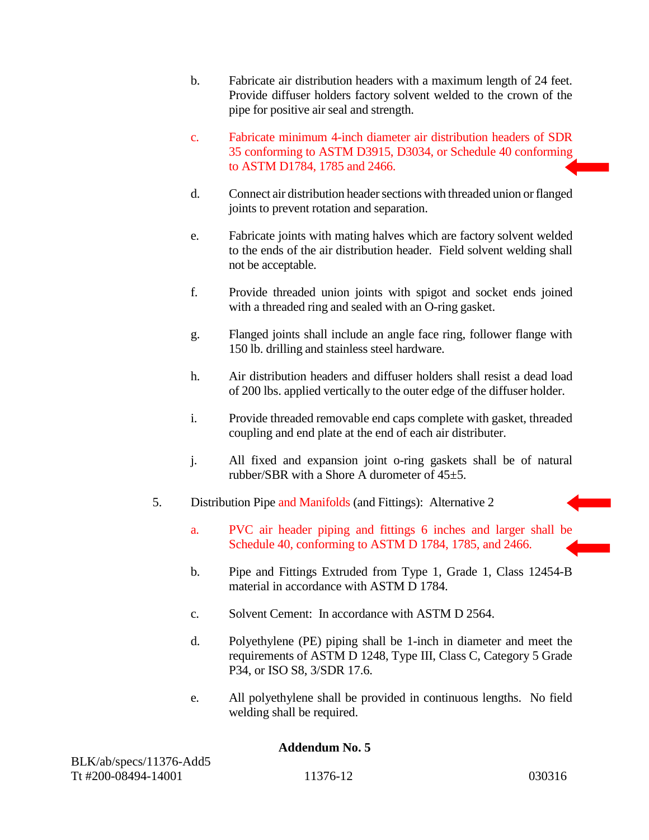- b. Fabricate air distribution headers with a maximum length of 24 feet. Provide diffuser holders factory solvent welded to the crown of the pipe for positive air seal and strength.
- c. Fabricate minimum 4-inch diameter air distribution headers of SDR 35 conforming to ASTM D3915, D3034, or Schedule 40 conforming to ASTM D1784, 1785 and 2466.
- d. Connect air distribution header sections with threaded union or flanged joints to prevent rotation and separation.
- e. Fabricate joints with mating halves which are factory solvent welded to the ends of the air distribution header. Field solvent welding shall not be acceptable.
- f. Provide threaded union joints with spigot and socket ends joined with a threaded ring and sealed with an O-ring gasket.
- g. Flanged joints shall include an angle face ring, follower flange with 150 lb. drilling and stainless steel hardware.
- h. Air distribution headers and diffuser holders shall resist a dead load of 200 lbs. applied vertically to the outer edge of the diffuser holder.
- i. Provide threaded removable end caps complete with gasket, threaded coupling and end plate at the end of each air distributer.
- j. All fixed and expansion joint o-ring gaskets shall be of natural rubber/SBR with a Shore A durometer of 45±5.
- 5. Distribution Pipe and Manifolds (and Fittings): Alternative 2
	- a. PVC air header piping and fittings 6 inches and larger shall be Schedule 40, conforming to ASTM D 1784, 1785, and 2466.
	- b. Pipe and Fittings Extruded from Type 1, Grade 1, Class 12454-B material in accordance with ASTM D 1784.
	- c. Solvent Cement: In accordance with ASTM D 2564.
	- d. Polyethylene (PE) piping shall be 1-inch in diameter and meet the requirements of ASTM D 1248, Type III, Class C, Category 5 Grade P34, or ISO S8, 3/SDR 17.6.
	- e. All polyethylene shall be provided in continuous lengths. No field welding shall be required.

| BLK/ab/specs/11376-Add5 |          |        |
|-------------------------|----------|--------|
| Tt #200-08494-14001     | 11376-12 | 030316 |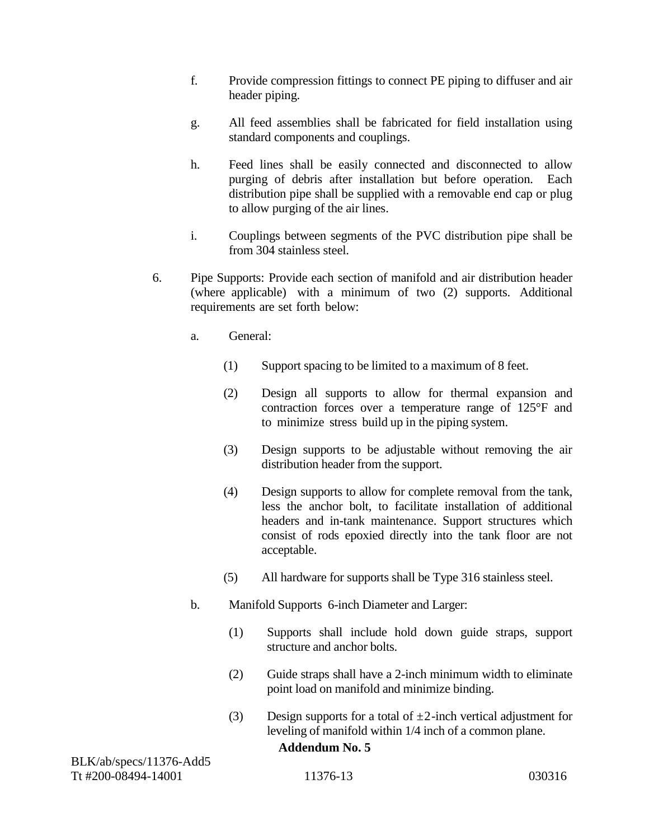- f. Provide compression fittings to connect PE piping to diffuser and air header piping.
- g. All feed assemblies shall be fabricated for field installation using standard components and couplings.
- h. Feed lines shall be easily connected and disconnected to allow purging of debris after installation but before operation. Each distribution pipe shall be supplied with a removable end cap or plug to allow purging of the air lines.
- i. Couplings between segments of the PVC distribution pipe shall be from 304 stainless steel.
- 6. Pipe Supports: Provide each section of manifold and air distribution header (where applicable) with a minimum of two (2) supports. Additional requirements are set forth below:
	- a. General:
		- (1) Support spacing to be limited to a maximum of 8 feet.
		- (2) Design all supports to allow for thermal expansion and contraction forces over a temperature range of 125°F and to minimize stress build up in the piping system.
		- (3) Design supports to be adjustable without removing the air distribution header from the support.
		- (4) Design supports to allow for complete removal from the tank, less the anchor bolt, to facilitate installation of additional headers and in-tank maintenance. Support structures which consist of rods epoxied directly into the tank floor are not acceptable.
		- (5) All hardware for supports shall be Type 316 stainless steel.
	- b. Manifold Supports 6-inch Diameter and Larger:
		- (1) Supports shall include hold down guide straps, support structure and anchor bolts.
		- (2) Guide straps shall have a 2-inch minimum width to eliminate point load on manifold and minimize binding.
		- (3) Design supports for a total of  $\pm 2$ -inch vertical adjustment for leveling of manifold within 1/4 inch of a common plane. **Addendum No. 5**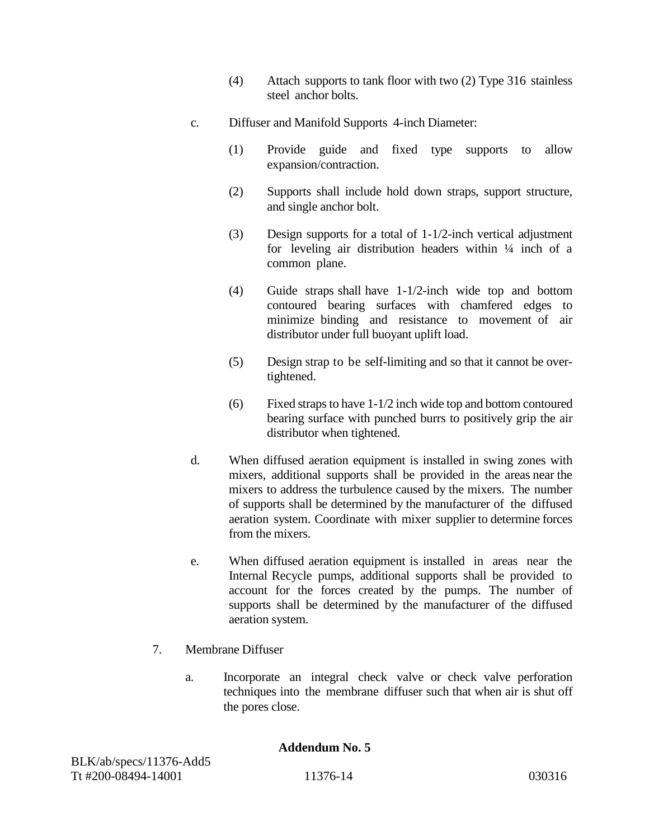- (4) Attach supports to tank floor with two (2) Type 316 stainless steel anchor bolts.
- c. Diffuser and Manifold Supports 4-inch Diameter:
	- (1) Provide guide and fixed type supports to allow expansion/contraction.
	- (2) Supports shall include hold down straps, support structure, and single anchor bolt.
	- (3) Design supports for a total of 1-1/2-inch vertical adjustment for leveling air distribution headers within  $\frac{1}{4}$  inch of a common plane.
	- (4) Guide straps shall have 1-1/2-inch wide top and bottom contoured bearing surfaces with chamfered edges to minimize binding and resistance to movement of air distributor under full buoyant uplift load.
	- (5) Design strap to be self-limiting and so that it cannot be overtightened.
	- (6) Fixed straps to have 1-1/2 inch wide top and bottom contoured bearing surface with punched burrs to positively grip the air distributor when tightened.
- d. When diffused aeration equipment is installed in swing zones with mixers, additional supports shall be provided in the areas near the mixers to address the turbulence caused by the mixers. The number of supports shall be determined by the manufacturer of the diffused aeration system. Coordinate with mixer supplier to determine forces from the mixers.
- e. When diffused aeration equipment is installed in areas near the Internal Recycle pumps, additional supports shall be provided to account for the forces created by the pumps. The number of supports shall be determined by the manufacturer of the diffused aeration system.
- 7. Membrane Diffuser
	- a. Incorporate an integral check valve or check valve perforation techniques into the membrane diffuser such that when air is shut off the pores close.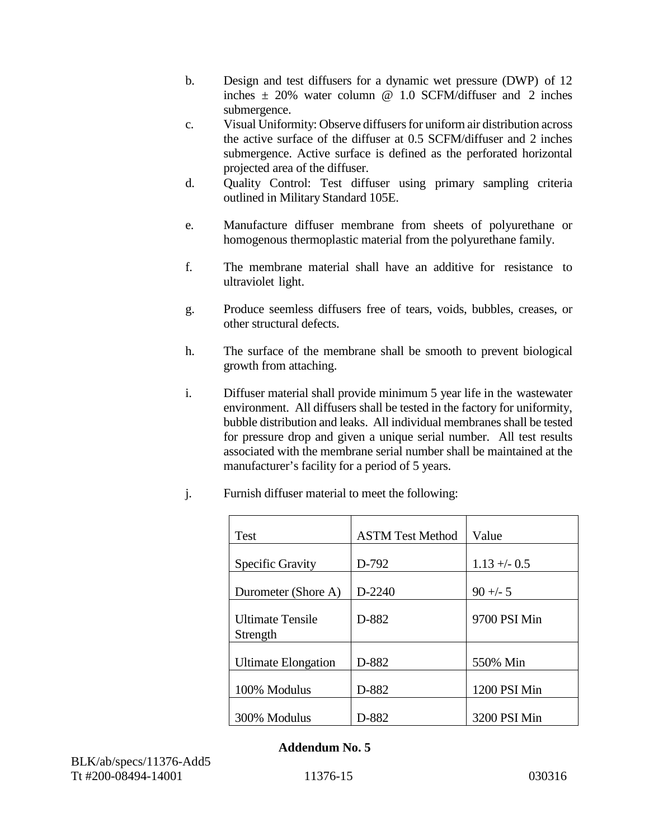- b. Design and test diffusers for a dynamic wet pressure (DWP) of 12 inches  $\pm$  20% water column  $\omega$  1.0 SCFM/diffuser and 2 inches submergence.
- c. Visual Uniformity: Observe diffusers for uniform air distribution across the active surface of the diffuser at 0.5 SCFM/diffuser and 2 inches submergence. Active surface is defined as the perforated horizontal projected area of the diffuser.
- d. Quality Control: Test diffuser using primary sampling criteria outlined in Military Standard 105E.
- e. Manufacture diffuser membrane from sheets of polyurethane or homogenous thermoplastic material from the polyurethane family.
- f. The membrane material shall have an additive for resistance to ultraviolet light.
- g. Produce seemless diffusers free of tears, voids, bubbles, creases, or other structural defects.
- h. The surface of the membrane shall be smooth to prevent biological growth from attaching.
- i. Diffuser material shall provide minimum 5 year life in the wastewater environment. All diffusers shall be tested in the factory for uniformity, bubble distribution and leaks. All individual membranes shall be tested for pressure drop and given a unique serial number. All test results associated with the membrane serial number shall be maintained at the manufacturer's facility for a period of 5 years.
- j. Furnish diffuser material to meet the following:

| <b>Test</b>                         | <b>ASTM Test Method</b> | Value         |
|-------------------------------------|-------------------------|---------------|
| <b>Specific Gravity</b>             | D-792                   | $1.13 + -0.5$ |
| Durometer (Shore A)                 | D-2240                  | $90 + -5$     |
| <b>Ultimate Tensile</b><br>Strength | D-882                   | 9700 PSI Min  |
| <b>Ultimate Elongation</b>          | D-882                   | 550% Min      |
| 100% Modulus                        | D-882                   | 1200 PSI Min  |
| 300% Modulus                        | D-882                   | 3200 PSI Min  |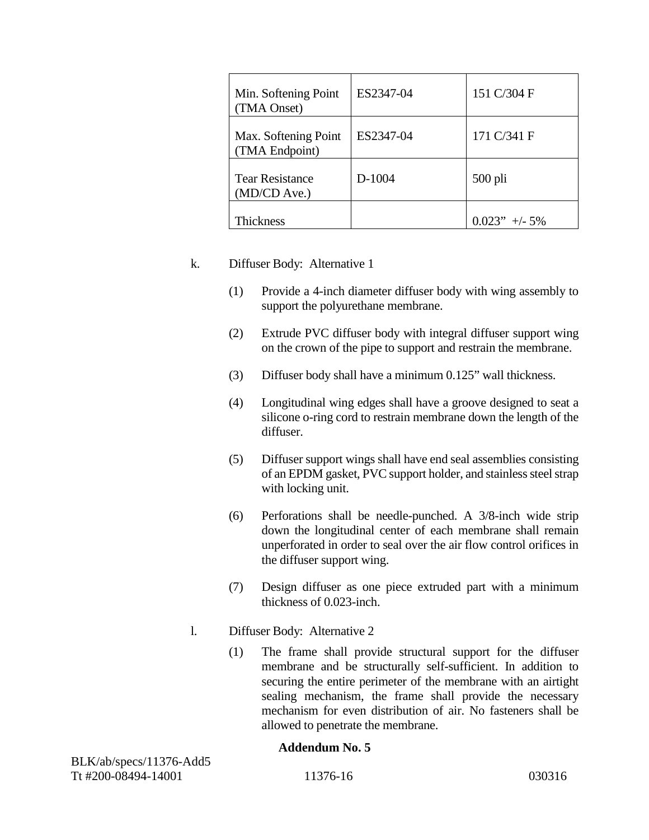| Min. Softening Point<br>(TMA Onset)    | ES2347-04 | 151 C/304 F     |
|----------------------------------------|-----------|-----------------|
| Max. Softening Point<br>(TMA Endpoint) | ES2347-04 | 171 C/341 F     |
| <b>Tear Resistance</b><br>(MD/CD Ave.) | D-1004    | $500$ pli       |
| Thickness                              |           | $0.023" + -5\%$ |

## k. Diffuser Body: Alternative 1

- (1) Provide a 4-inch diameter diffuser body with wing assembly to support the polyurethane membrane.
- (2) Extrude PVC diffuser body with integral diffuser support wing on the crown of the pipe to support and restrain the membrane.
- (3) Diffuser body shall have a minimum 0.125" wall thickness.
- (4) Longitudinal wing edges shall have a groove designed to seat a silicone o-ring cord to restrain membrane down the length of the diffuser.
- (5) Diffuser support wings shall have end seal assemblies consisting of an EPDM gasket, PVC support holder, and stainless steel strap with locking unit.
- (6) Perforations shall be needle-punched. A 3/8-inch wide strip down the longitudinal center of each membrane shall remain unperforated in order to seal over the air flow control orifices in the diffuser support wing.
- (7) Design diffuser as one piece extruded part with a minimum thickness of 0.023-inch.
- l. Diffuser Body: Alternative 2
	- (1) The frame shall provide structural support for the diffuser membrane and be structurally self-sufficient. In addition to securing the entire perimeter of the membrane with an airtight sealing mechanism, the frame shall provide the necessary mechanism for even distribution of air. No fasteners shall be allowed to penetrate the membrane.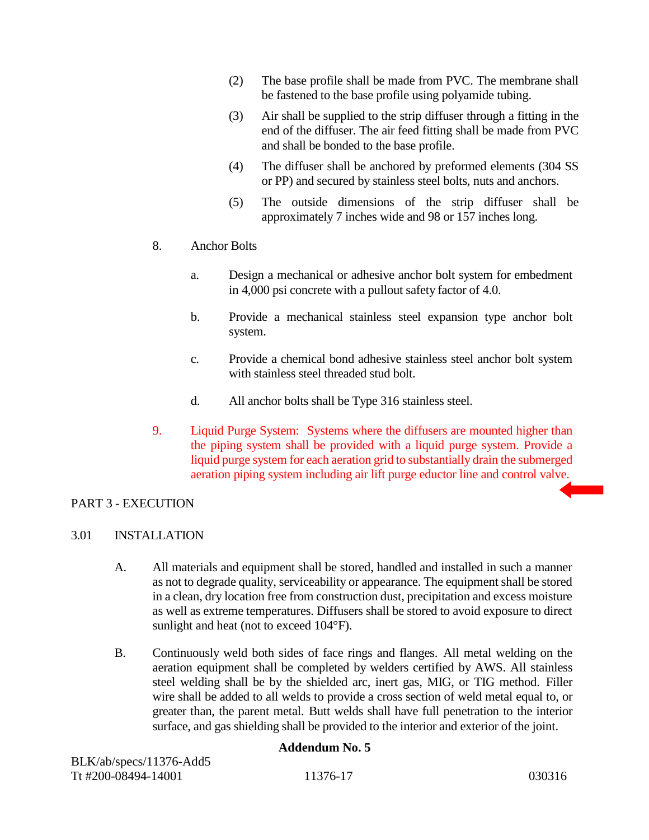- (2) The base profile shall be made from PVC. The membrane shall be fastened to the base profile using polyamide tubing.
- (3) Air shall be supplied to the strip diffuser through a fitting in the end of the diffuser. The air feed fitting shall be made from PVC and shall be bonded to the base profile.
- (4) The diffuser shall be anchored by preformed elements (304 SS or PP) and secured by stainless steel bolts, nuts and anchors.
- (5) The outside dimensions of the strip diffuser shall be approximately 7 inches wide and 98 or 157 inches long.
- 8. Anchor Bolts
	- a. Design a mechanical or adhesive anchor bolt system for embedment in 4,000 psi concrete with a pullout safety factor of 4.0.
	- b. Provide a mechanical stainless steel expansion type anchor bolt system.
	- c. Provide a chemical bond adhesive stainless steel anchor bolt system with stainless steel threaded stud bolt.
	- d. All anchor bolts shall be Type 316 stainless steel.
- 9. Liquid Purge System: Systems where the diffusers are mounted higher than the piping system shall be provided with a liquid purge system. Provide a liquid purge system for each aeration grid to substantially drain the submerged aeration piping system including air lift purge eductor line and control valve.

# PART 3 - EXECUTION

# 3.01 INSTALLATION

- A. All materials and equipment shall be stored, handled and installed in such a manner as not to degrade quality, serviceability or appearance. The equipment shall be stored in a clean, dry location free from construction dust, precipitation and excess moisture as well as extreme temperatures. Diffusers shall be stored to avoid exposure to direct sunlight and heat (not to exceed 104°F).
- B. Continuously weld both sides of face rings and flanges. All metal welding on the aeration equipment shall be completed by welders certified by AWS. All stainless steel welding shall be by the shielded arc, inert gas, MIG, or TIG method. Filler wire shall be added to all welds to provide a cross section of weld metal equal to, or greater than, the parent metal. Butt welds shall have full penetration to the interior surface, and gas shielding shall be provided to the interior and exterior of the joint.

| BLK/ab/specs/11376-Add5 |          |        |
|-------------------------|----------|--------|
| Tt #200-08494-14001     | 11376-17 | 030316 |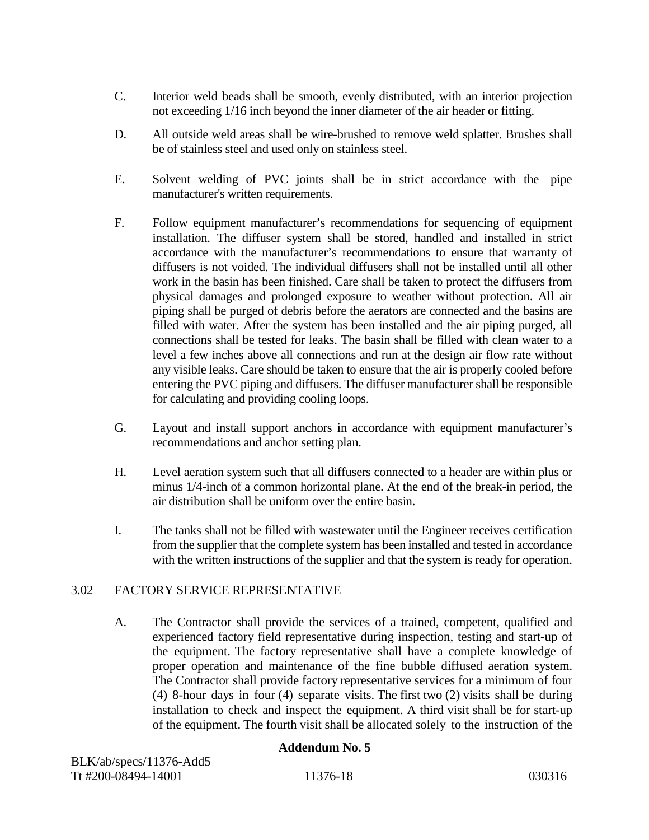- C. Interior weld beads shall be smooth, evenly distributed, with an interior projection not exceeding 1/16 inch beyond the inner diameter of the air header or fitting.
- D. All outside weld areas shall be wire-brushed to remove weld splatter. Brushes shall be of stainless steel and used only on stainless steel.
- E. Solvent welding of PVC joints shall be in strict accordance with the pipe manufacturer's written requirements.
- F. Follow equipment manufacturer's recommendations for sequencing of equipment installation. The diffuser system shall be stored, handled and installed in strict accordance with the manufacturer's recommendations to ensure that warranty of diffusers is not voided. The individual diffusers shall not be installed until all other work in the basin has been finished. Care shall be taken to protect the diffusers from physical damages and prolonged exposure to weather without protection. All air piping shall be purged of debris before the aerators are connected and the basins are filled with water. After the system has been installed and the air piping purged, all connections shall be tested for leaks. The basin shall be filled with clean water to a level a few inches above all connections and run at the design air flow rate without any visible leaks. Care should be taken to ensure that the air is properly cooled before entering the PVC piping and diffusers. The diffuser manufacturer shall be responsible for calculating and providing cooling loops.
- G. Layout and install support anchors in accordance with equipment manufacturer's recommendations and anchor setting plan.
- H. Level aeration system such that all diffusers connected to a header are within plus or minus 1/4-inch of a common horizontal plane. At the end of the break-in period, the air distribution shall be uniform over the entire basin.
- I. The tanks shall not be filled with wastewater until the Engineer receives certification from the supplier that the complete system has been installed and tested in accordance with the written instructions of the supplier and that the system is ready for operation.

# 3.02 FACTORY SERVICE REPRESENTATIVE

A. The Contractor shall provide the services of a trained, competent, qualified and experienced factory field representative during inspection, testing and start-up of the equipment. The factory representative shall have a complete knowledge of proper operation and maintenance of the fine bubble diffused aeration system. The Contractor shall provide factory representative services for a minimum of four (4) 8-hour days in four (4) separate visits. The first two (2) visits shall be during installation to check and inspect the equipment. A third visit shall be for start-up of the equipment. The fourth visit shall be allocated solely to the instruction of the

| BLK/ab/specs/11376-Add5 |          |        |
|-------------------------|----------|--------|
| Tt #200-08494-14001     | 11376-18 | 030316 |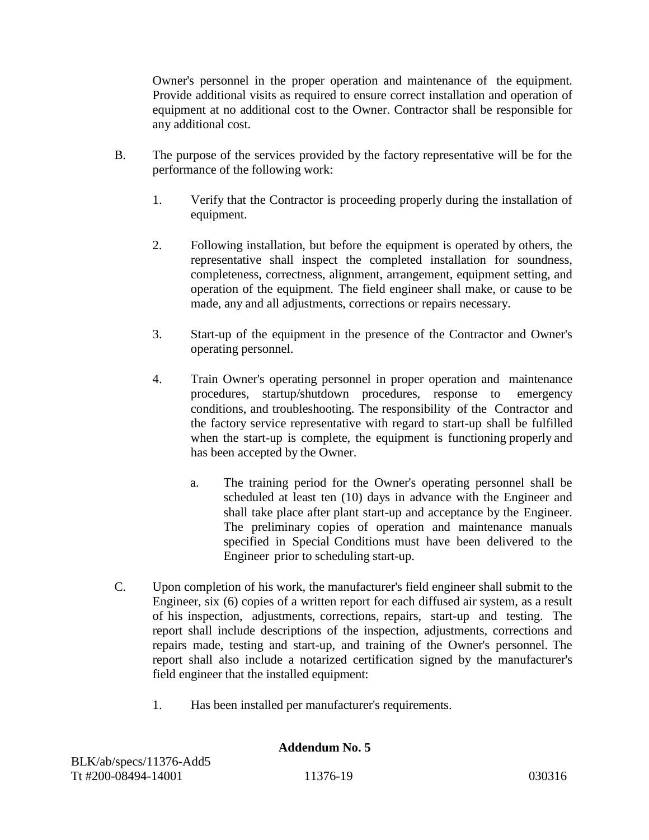Owner's personnel in the proper operation and maintenance of the equipment. Provide additional visits as required to ensure correct installation and operation of equipment at no additional cost to the Owner. Contractor shall be responsible for any additional cost.

- B. The purpose of the services provided by the factory representative will be for the performance of the following work:
	- 1. Verify that the Contractor is proceeding properly during the installation of equipment.
	- 2. Following installation, but before the equipment is operated by others, the representative shall inspect the completed installation for soundness, completeness, correctness, alignment, arrangement, equipment setting, and operation of the equipment. The field engineer shall make, or cause to be made, any and all adjustments, corrections or repairs necessary.
	- 3. Start-up of the equipment in the presence of the Contractor and Owner's operating personnel.
	- 4. Train Owner's operating personnel in proper operation and maintenance procedures, startup/shutdown procedures, response to emergency conditions, and troubleshooting. The responsibility of the Contractor and the factory service representative with regard to start-up shall be fulfilled when the start-up is complete, the equipment is functioning properly and has been accepted by the Owner.
		- a. The training period for the Owner's operating personnel shall be scheduled at least ten (10) days in advance with the Engineer and shall take place after plant start-up and acceptance by the Engineer. The preliminary copies of operation and maintenance manuals specified in Special Conditions must have been delivered to the Engineer prior to scheduling start-up.
- C. Upon completion of his work, the manufacturer's field engineer shall submit to the Engineer, six (6) copies of a written report for each diffused air system, as a result of his inspection, adjustments, corrections, repairs, start-up and testing. The report shall include descriptions of the inspection, adjustments, corrections and repairs made, testing and start-up, and training of the Owner's personnel. The report shall also include a notarized certification signed by the manufacturer's field engineer that the installed equipment:
	- 1. Has been installed per manufacturer's requirements.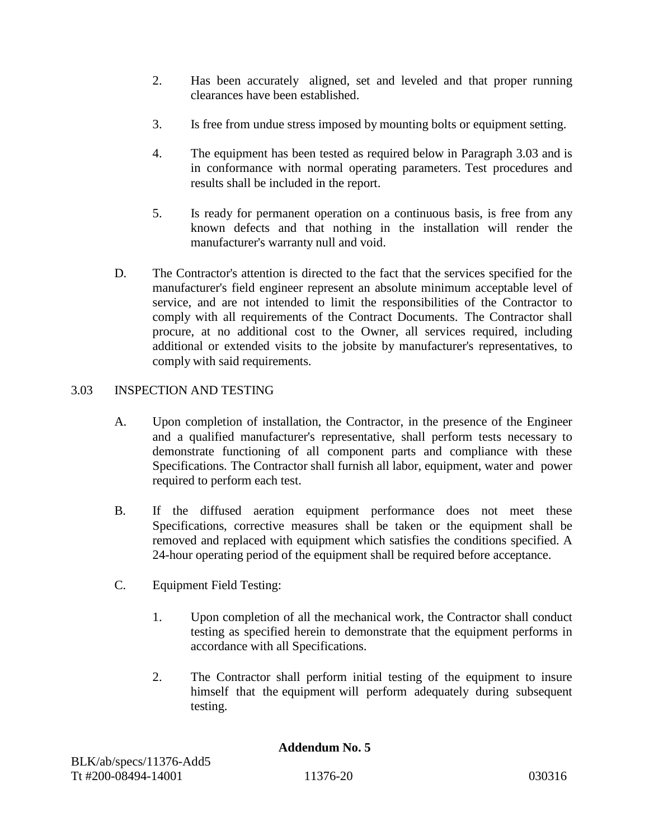- 2. Has been accurately aligned, set and leveled and that proper running clearances have been established.
- 3. Is free from undue stress imposed by mounting bolts or equipment setting.
- 4. The equipment has been tested as required below in Paragraph 3.03 and is in conformance with normal operating parameters. Test procedures and results shall be included in the report.
- 5. Is ready for permanent operation on a continuous basis, is free from any known defects and that nothing in the installation will render the manufacturer's warranty null and void.
- D. The Contractor's attention is directed to the fact that the services specified for the manufacturer's field engineer represent an absolute minimum acceptable level of service, and are not intended to limit the responsibilities of the Contractor to comply with all requirements of the Contract Documents. The Contractor shall procure, at no additional cost to the Owner, all services required, including additional or extended visits to the jobsite by manufacturer's representatives, to comply with said requirements.

# 3.03 INSPECTION AND TESTING

- A. Upon completion of installation, the Contractor, in the presence of the Engineer and a qualified manufacturer's representative, shall perform tests necessary to demonstrate functioning of all component parts and compliance with these Specifications. The Contractor shall furnish all labor, equipment, water and power required to perform each test.
- B. If the diffused aeration equipment performance does not meet these Specifications, corrective measures shall be taken or the equipment shall be removed and replaced with equipment which satisfies the conditions specified. A 24-hour operating period of the equipment shall be required before acceptance.
- C. Equipment Field Testing:
	- 1. Upon completion of all the mechanical work, the Contractor shall conduct testing as specified herein to demonstrate that the equipment performs in accordance with all Specifications.
	- 2. The Contractor shall perform initial testing of the equipment to insure himself that the equipment will perform adequately during subsequent testing.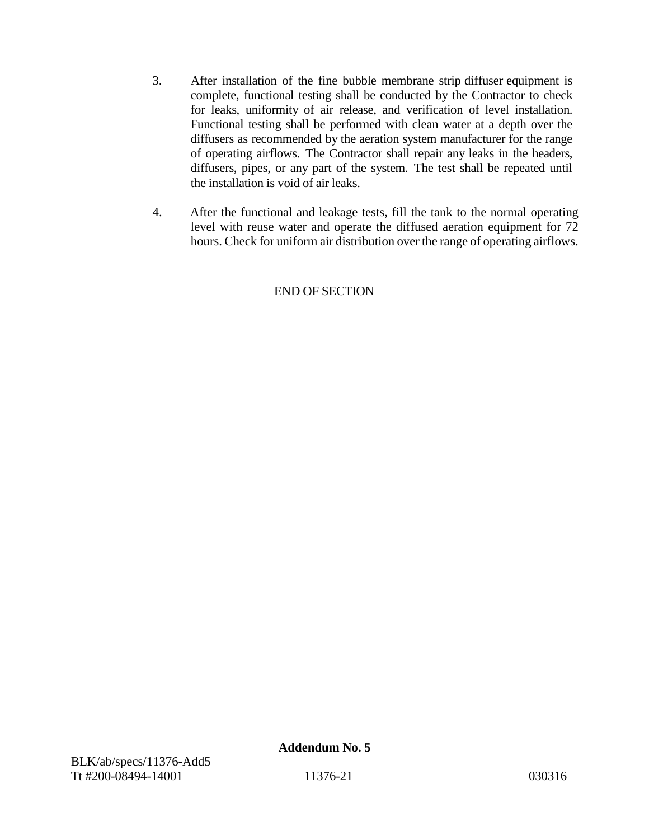- 3. After installation of the fine bubble membrane strip diffuser equipment is complete, functional testing shall be conducted by the Contractor to check for leaks, uniformity of air release, and verification of level installation. Functional testing shall be performed with clean water at a depth over the diffusers as recommended by the aeration system manufacturer for the range of operating airflows. The Contractor shall repair any leaks in the headers, diffusers, pipes, or any part of the system. The test shall be repeated until the installation is void of air leaks.
- 4. After the functional and leakage tests, fill the tank to the normal operating level with reuse water and operate the diffused aeration equipment for 72 hours. Check for uniform air distribution over the range of operating airflows.

# END OF SECTION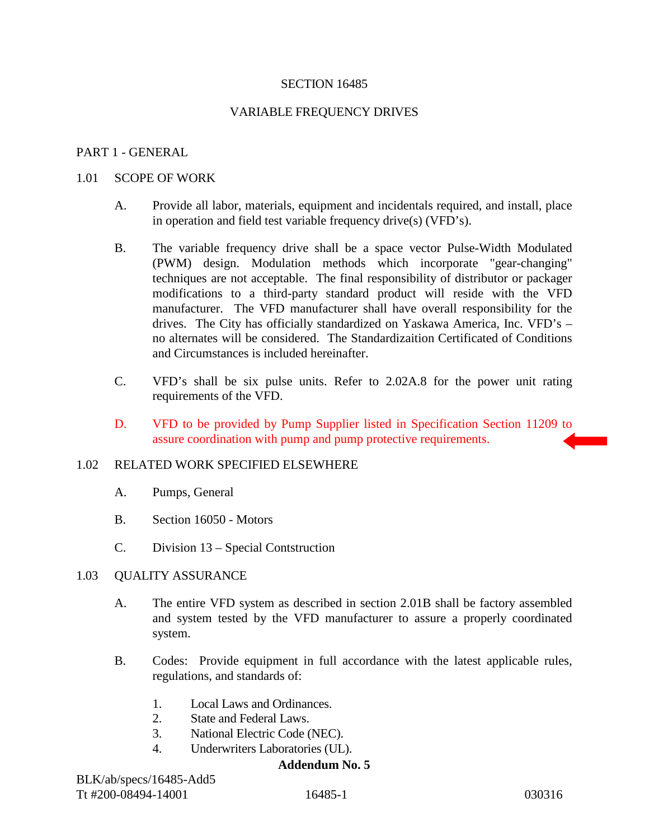## SECTION 16485

## VARIABLE FREQUENCY DRIVES

## PART 1 - GENERAL

#### 1.01 SCOPE OF WORK

- A. Provide all labor, materials, equipment and incidentals required, and install, place in operation and field test variable frequency drive(s) (VFD's).
- B. The variable frequency drive shall be a space vector Pulse-Width Modulated (PWM) design. Modulation methods which incorporate "gear-changing" techniques are not acceptable. The final responsibility of distributor or packager modifications to a third-party standard product will reside with the VFD manufacturer. The VFD manufacturer shall have overall responsibility for the drives. The City has officially standardized on Yaskawa America, Inc. VFD's – no alternates will be considered. The Standardizaition Certificated of Conditions and Circumstances is included hereinafter.
- C. VFD's shall be six pulse units. Refer to 2.02A.8 for the power unit rating requirements of the VFD.
- D. VFD to be provided by Pump Supplier listed in Specification Section 11209 to assure coordination with pump and pump protective requirements.

#### 1.02 RELATED WORK SPECIFIED ELSEWHERE

- A. Pumps, General
- B. Section 16050 Motors
- C. Division 13 Special Contstruction

#### 1.03 QUALITY ASSURANCE

- A. The entire VFD system as described in section 2.01B shall be factory assembled and system tested by the VFD manufacturer to assure a properly coordinated system.
- B. Codes: Provide equipment in full accordance with the latest applicable rules, regulations, and standards of:
	- 1. Local Laws and Ordinances.
	- 2. State and Federal Laws.
	- 3. National Electric Code (NEC).
	- 4. Underwriters Laboratories (UL).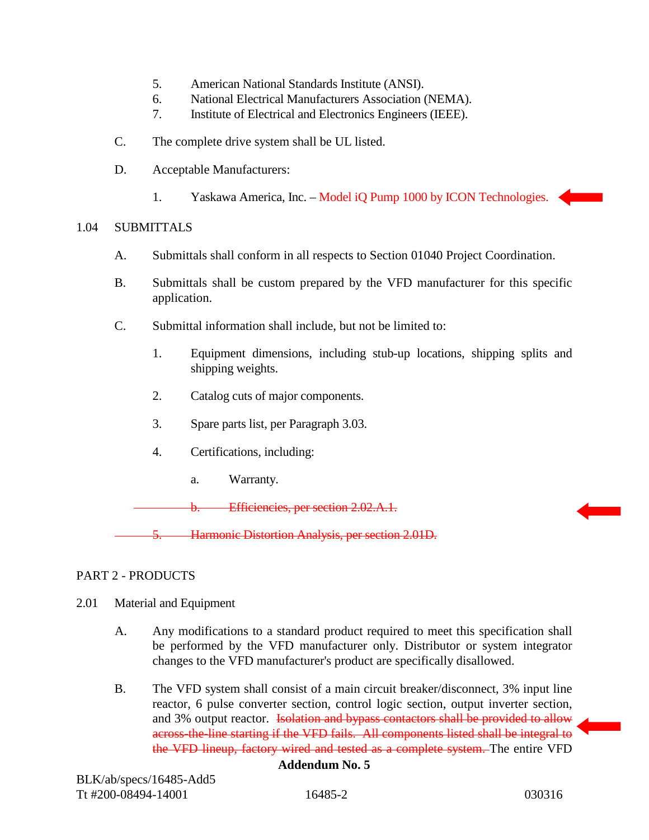- 5. American National Standards Institute (ANSI).
- 6. National Electrical Manufacturers Association (NEMA).
- 7. Institute of Electrical and Electronics Engineers (IEEE).
- C. The complete drive system shall be UL listed.
- D. Acceptable Manufacturers:
	- 1. Yaskawa America, Inc. Model iQ Pump 1000 by ICON Technologies.

## 1.04 SUBMITTALS

- A. Submittals shall conform in all respects to Section 01040 Project Coordination.
- B. Submittals shall be custom prepared by the VFD manufacturer for this specific application.
- C. Submittal information shall include, but not be limited to:
	- 1. Equipment dimensions, including stub-up locations, shipping splits and shipping weights.
	- 2. Catalog cuts of major components.
	- 3. Spare parts list, per Paragraph 3.03.
	- 4. Certifications, including:
		- a. Warranty.

b. Efficiencies, per section 2.02.A.1.

Harmonic Distortion Analysis, per section 2.01D.

# PART 2 - PRODUCTS

- 2.01 Material and Equipment
	- A. Any modifications to a standard product required to meet this specification shall be performed by the VFD manufacturer only. Distributor or system integrator changes to the VFD manufacturer's product are specifically disallowed.
	- B. The VFD system shall consist of a main circuit breaker/disconnect, 3% input line reactor, 6 pulse converter section, control logic section, output inverter section, and 3% output reactor. Isolation and bypass contactors shall be provided to allow across-the-line starting if the VFD fails. All components listed shall be integral to the VFD lineup, factory wired and tested as a complete system. The entire VFD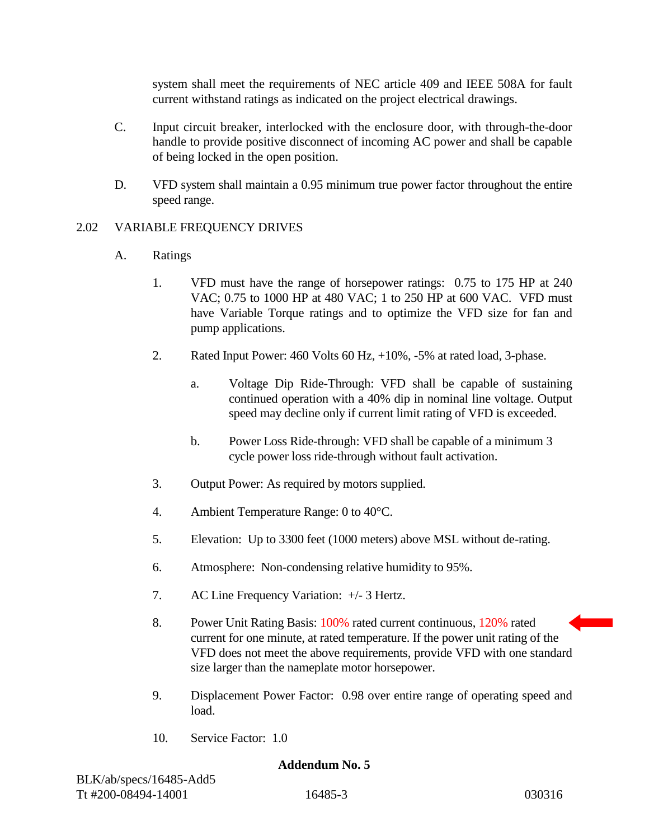system shall meet the requirements of NEC article 409 and IEEE 508A for fault current withstand ratings as indicated on the project electrical drawings.

- C. Input circuit breaker, interlocked with the enclosure door, with through-the-door handle to provide positive disconnect of incoming AC power and shall be capable of being locked in the open position.
- D. VFD system shall maintain a 0.95 minimum true power factor throughout the entire speed range.

# 2.02 VARIABLE FREQUENCY DRIVES

# A. Ratings

- 1. VFD must have the range of horsepower ratings: 0.75 to 175 HP at 240 VAC; 0.75 to 1000 HP at 480 VAC; 1 to 250 HP at 600 VAC. VFD must have Variable Torque ratings and to optimize the VFD size for fan and pump applications.
- 2. Rated Input Power: 460 Volts 60 Hz, +10%, -5% at rated load, 3-phase.
	- a. Voltage Dip Ride-Through: VFD shall be capable of sustaining continued operation with a 40% dip in nominal line voltage. Output speed may decline only if current limit rating of VFD is exceeded.
	- b. Power Loss Ride-through: VFD shall be capable of a minimum 3 cycle power loss ride-through without fault activation.
- 3. Output Power: As required by motors supplied.
- 4. Ambient Temperature Range: 0 to 40°C.
- 5. Elevation: Up to 3300 feet (1000 meters) above MSL without de-rating.
- 6. Atmosphere: Non-condensing relative humidity to 95%.
- 7. AC Line Frequency Variation: +/- 3 Hertz.
- 8. Power Unit Rating Basis: 100% rated current continuous, 120% rated current for one minute, at rated temperature. If the power unit rating of the VFD does not meet the above requirements, provide VFD with one standard size larger than the nameplate motor horsepower.
- 9. Displacement Power Factor: 0.98 over entire range of operating speed and load.
- 10. Service Factor: 1.0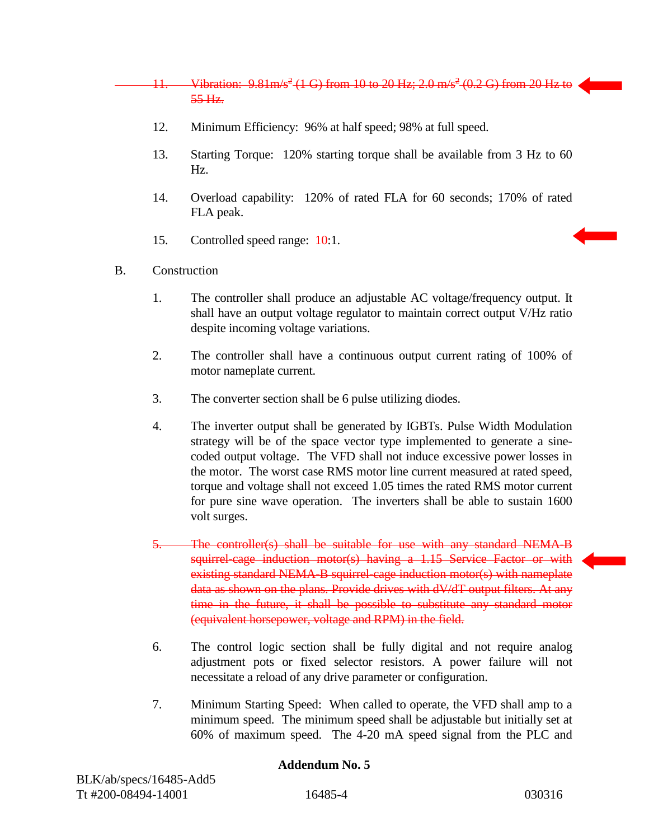11. Vibration:  $9.81 \text{m/s}^2$  (1 G) from 10 to 20 Hz; 2.0 m/s<sup>2</sup> (0.2 G) from 20 Hz to 55 Hz.

- 12. Minimum Efficiency: 96% at half speed; 98% at full speed.
- 13. Starting Torque: 120% starting torque shall be available from 3 Hz to 60 Hz.
- 14. Overload capability: 120% of rated FLA for 60 seconds; 170% of rated FLA peak.
- 15. Controlled speed range: 10:1.
- B. Construction
	- 1. The controller shall produce an adjustable AC voltage/frequency output. It shall have an output voltage regulator to maintain correct output V/Hz ratio despite incoming voltage variations.
	- 2. The controller shall have a continuous output current rating of 100% of motor nameplate current.
	- 3. The converter section shall be 6 pulse utilizing diodes.
	- 4. The inverter output shall be generated by IGBTs. Pulse Width Modulation strategy will be of the space vector type implemented to generate a sinecoded output voltage. The VFD shall not induce excessive power losses in the motor. The worst case RMS motor line current measured at rated speed, torque and voltage shall not exceed 1.05 times the rated RMS motor current for pure sine wave operation. The inverters shall be able to sustain 1600 volt surges.
	- 5. The controller(s) shall be suitable for use with any standard NEMA-B squirrel-cage induction motor(s) having a 1.15 Service Factor or with existing standard NEMA-B squirrel-cage induction motor(s) with nameplate data as shown on the plans. Provide drives with dV/dT output filters. At any time in the future, it shall be possible to substitute any standard motor (equivalent horsepower, voltage and RPM) in the field.
	- 6. The control logic section shall be fully digital and not require analog adjustment pots or fixed selector resistors. A power failure will not necessitate a reload of any drive parameter or configuration.
	- 7. Minimum Starting Speed: When called to operate, the VFD shall amp to a minimum speed. The minimum speed shall be adjustable but initially set at 60% of maximum speed. The 4-20 mA speed signal from the PLC and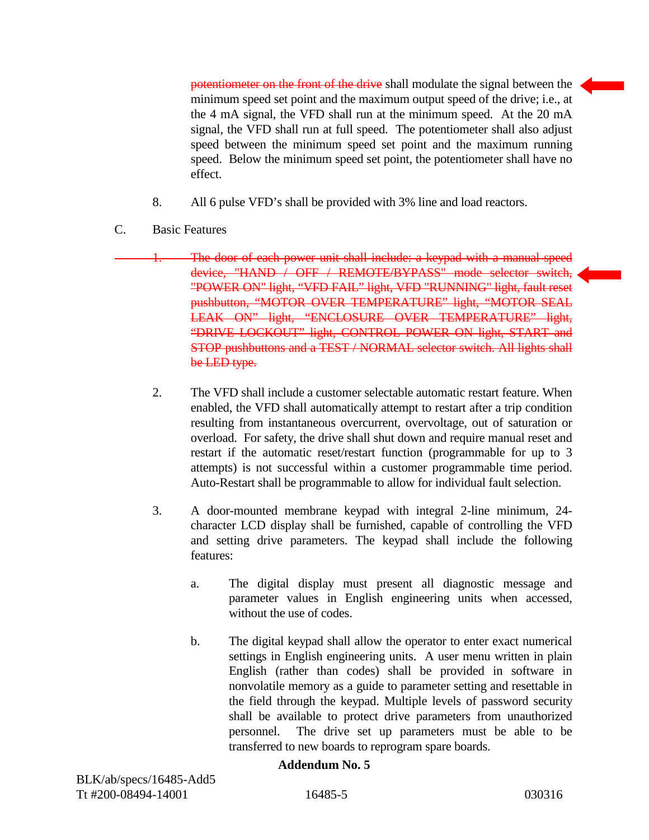potentiometer on the front of the drive shall modulate the signal between the minimum speed set point and the maximum output speed of the drive; i.e., at the 4 mA signal, the VFD shall run at the minimum speed. At the 20 mA signal, the VFD shall run at full speed. The potentiometer shall also adjust speed between the minimum speed set point and the maximum running speed. Below the minimum speed set point, the potentiometer shall have no effect.

- 8. All 6 pulse VFD's shall be provided with 3% line and load reactors.
- C. Basic Features
	- The door of each power unit shall include: a keypad with a manual speed device, "HAND / OFF / REMOTE/BYPASS" mode selector switch, "POWER ON" light, "VFD FAIL" light, VFD "RUNNING" light, fault reset pushbutton, "MOTOR OVER TEMPERATURE" light, "MOTOR SEAL LEAK ON" light, "ENCLOSURE OVER TEMPERATURE" light, "DRIVE LOCKOUT" light, CONTROL POWER ON light, START and STOP pushbuttons and a TEST / NORMAL selector switch. All lights shall be LED type.
		- 2. The VFD shall include a customer selectable automatic restart feature. When enabled, the VFD shall automatically attempt to restart after a trip condition resulting from instantaneous overcurrent, overvoltage, out of saturation or overload. For safety, the drive shall shut down and require manual reset and restart if the automatic reset/restart function (programmable for up to 3 attempts) is not successful within a customer programmable time period. Auto-Restart shall be programmable to allow for individual fault selection.
		- 3. A door-mounted membrane keypad with integral 2-line minimum, 24 character LCD display shall be furnished, capable of controlling the VFD and setting drive parameters. The keypad shall include the following features:
			- a. The digital display must present all diagnostic message and parameter values in English engineering units when accessed, without the use of codes.
			- b. The digital keypad shall allow the operator to enter exact numerical settings in English engineering units. A user menu written in plain English (rather than codes) shall be provided in software in nonvolatile memory as a guide to parameter setting and resettable in the field through the keypad. Multiple levels of password security shall be available to protect drive parameters from unauthorized personnel. The drive set up parameters must be able to be transferred to new boards to reprogram spare boards.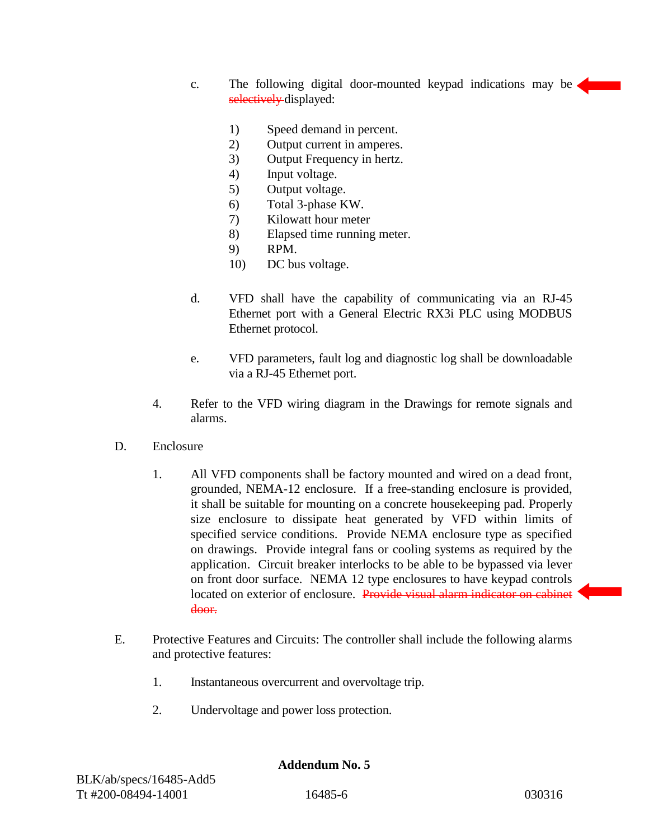- c. The following digital door-mounted keypad indications may be selectively displayed:
	- 1) Speed demand in percent.
	- 2) Output current in amperes.
	- 3) Output Frequency in hertz.
	- 4) Input voltage.
	- 5) Output voltage.
	- 6) Total 3-phase KW.
	- 7) Kilowatt hour meter
	- 8) Elapsed time running meter.
	- 9) RPM.
	- 10) DC bus voltage.
- d. VFD shall have the capability of communicating via an RJ-45 Ethernet port with a General Electric RX3i PLC using MODBUS Ethernet protocol.
- e. VFD parameters, fault log and diagnostic log shall be downloadable via a RJ-45 Ethernet port.
- 4. Refer to the VFD wiring diagram in the Drawings for remote signals and alarms.
- D. Enclosure
	- 1. All VFD components shall be factory mounted and wired on a dead front, grounded, NEMA-12 enclosure. If a free-standing enclosure is provided, it shall be suitable for mounting on a concrete housekeeping pad. Properly size enclosure to dissipate heat generated by VFD within limits of specified service conditions. Provide NEMA enclosure type as specified on drawings. Provide integral fans or cooling systems as required by the application. Circuit breaker interlocks to be able to be bypassed via lever on front door surface. NEMA 12 type enclosures to have keypad controls located on exterior of enclosure. Provide visual alarm indicator on cabinet door.
- E. Protective Features and Circuits: The controller shall include the following alarms and protective features:
	- 1. Instantaneous overcurrent and overvoltage trip.
	- 2. Undervoltage and power loss protection.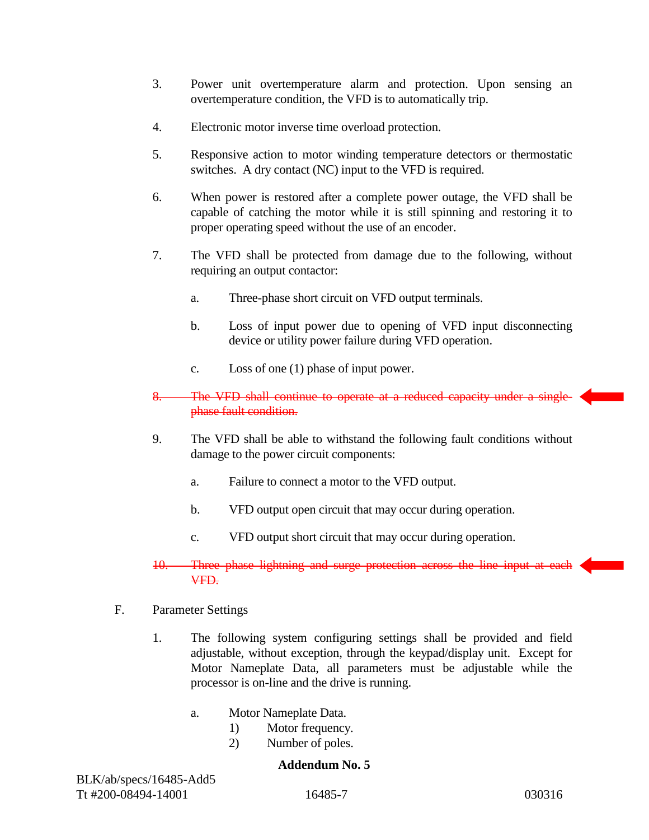- 3. Power unit overtemperature alarm and protection. Upon sensing an overtemperature condition, the VFD is to automatically trip.
- 4. Electronic motor inverse time overload protection.
- 5. Responsive action to motor winding temperature detectors or thermostatic switches. A dry contact (NC) input to the VFD is required.
- 6. When power is restored after a complete power outage, the VFD shall be capable of catching the motor while it is still spinning and restoring it to proper operating speed without the use of an encoder.
- 7. The VFD shall be protected from damage due to the following, without requiring an output contactor:
	- a. Three-phase short circuit on VFD output terminals.
	- b. Loss of input power due to opening of VFD input disconnecting device or utility power failure during VFD operation.
	- c. Loss of one (1) phase of input power.
- 8. The VFD shall continue to operate at a reduced capacity under a singlephase fault condition.
- 9. The VFD shall be able to withstand the following fault conditions without damage to the power circuit components:
	- a. Failure to connect a motor to the VFD output.
	- b. VFD output open circuit that may occur during operation.
	- c. VFD output short circuit that may occur during operation.

## 10. Three phase lightning and surge protection across the line input at each VFD.

- F. Parameter Settings
	- 1. The following system configuring settings shall be provided and field adjustable, without exception, through the keypad/display unit. Except for Motor Nameplate Data, all parameters must be adjustable while the processor is on-line and the drive is running.
		- a. Motor Nameplate Data.
			- 1) Motor frequency.
			- 2) Number of poles.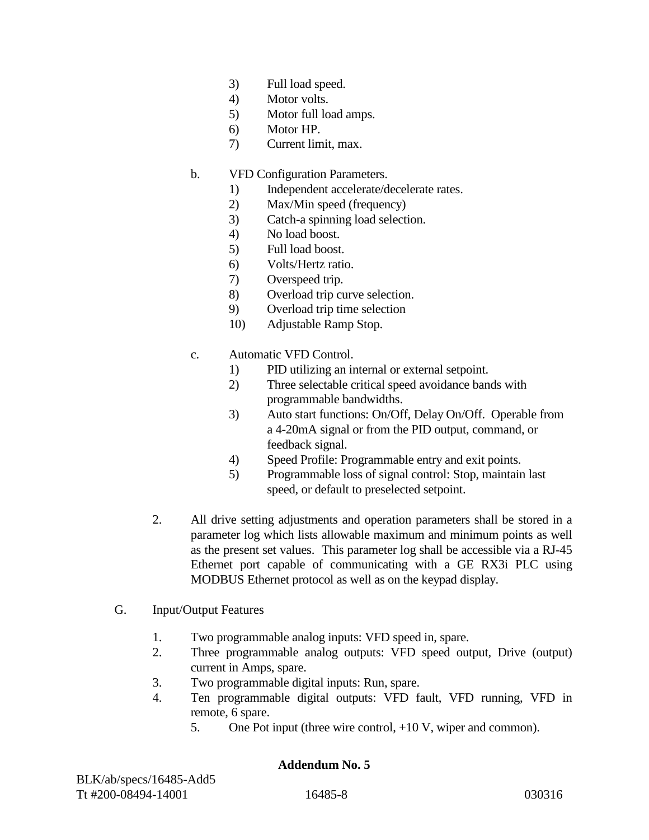- 3) Full load speed.
- 4) Motor volts.
- 5) Motor full load amps.
- 6) Motor HP.
- 7) Current limit, max.
- b. VFD Configuration Parameters.
	- 1) Independent accelerate/decelerate rates.
	- 2) Max/Min speed (frequency)
	- 3) Catch-a spinning load selection.
	- 4) No load boost.
	- 5) Full load boost.
	- 6) Volts/Hertz ratio.
	- 7) Overspeed trip.
	- 8) Overload trip curve selection.
	- 9) Overload trip time selection
	- 10) Adjustable Ramp Stop.
- c. Automatic VFD Control.
	- 1) PID utilizing an internal or external setpoint.
	- 2) Three selectable critical speed avoidance bands with programmable bandwidths.
	- 3) Auto start functions: On/Off, Delay On/Off. Operable from a 4-20mA signal or from the PID output, command, or feedback signal.
	- 4) Speed Profile: Programmable entry and exit points.
	- 5) Programmable loss of signal control: Stop, maintain last speed, or default to preselected setpoint.
- 2. All drive setting adjustments and operation parameters shall be stored in a parameter log which lists allowable maximum and minimum points as well as the present set values. This parameter log shall be accessible via a RJ-45 Ethernet port capable of communicating with a GE RX3i PLC using MODBUS Ethernet protocol as well as on the keypad display.
- G. Input/Output Features
	- 1. Two programmable analog inputs: VFD speed in, spare.
	- 2. Three programmable analog outputs: VFD speed output, Drive (output) current in Amps, spare.
	- 3. Two programmable digital inputs: Run, spare.
	- 4. Ten programmable digital outputs: VFD fault, VFD running, VFD in remote, 6 spare.
		- 5. One Pot input (three wire control, +10 V, wiper and common).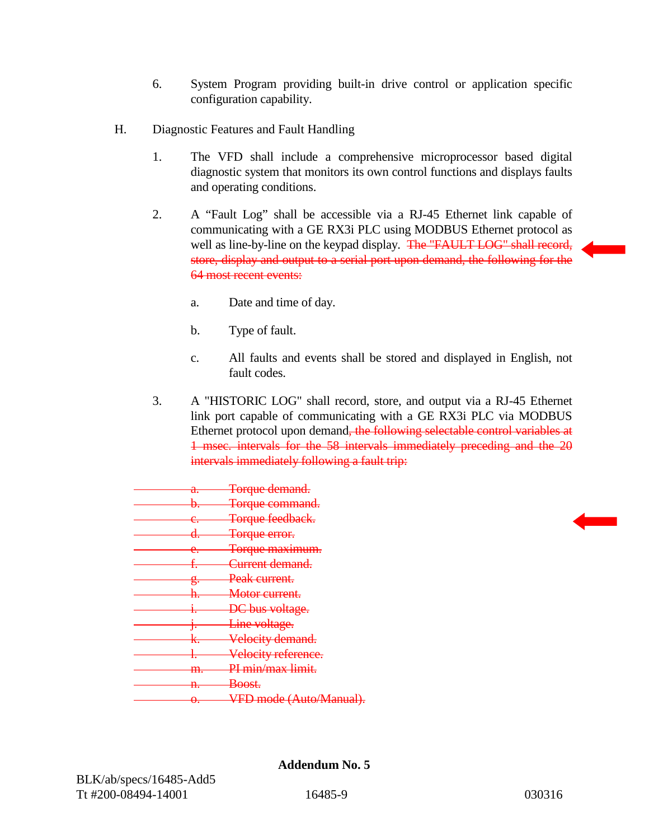- 6. System Program providing built-in drive control or application specific configuration capability.
- H. Diagnostic Features and Fault Handling
	- 1. The VFD shall include a comprehensive microprocessor based digital diagnostic system that monitors its own control functions and displays faults and operating conditions.
	- 2. A "Fault Log" shall be accessible via a RJ-45 Ethernet link capable of communicating with a GE RX3i PLC using MODBUS Ethernet protocol as well as line-by-line on the keypad display. The "FAULT LOG" shall record, store, display and output to a serial port upon demand, the following for the 64 most recent events:
		- a. Date and time of day.
		- b. Type of fault.
		- c. All faults and events shall be stored and displayed in English, not fault codes.
	- 3. A "HISTORIC LOG" shall record, store, and output via a RJ-45 Ethernet link port capable of communicating with a GE RX3i PLC via MODBUS Ethernet protocol upon demand, the following selectable control variables at 1 msec. intervals for the 58 intervals immediately preceding and the 20 intervals immediately following a fault trip:

| a. | <del>Torque demand.</del>  |
|----|----------------------------|
| þ. | <del>Torque command.</del> |
| e. | Torque feedback.           |
|    | Torque error.              |
| е. | <del>Torque maximum.</del> |
|    | <del>Current demand.</del> |
| g. | Peak current.              |
|    | Motor current.             |
|    | <del>bus voltage.</del> '  |
|    | Line voltage.              |
|    | Velocity demand.           |
|    | Velocity reference.        |
|    | PI min/max limit.          |
| m  |                            |
| n. | <del>Boost.</del>          |
| θ. | mode (Auto/Manual)         |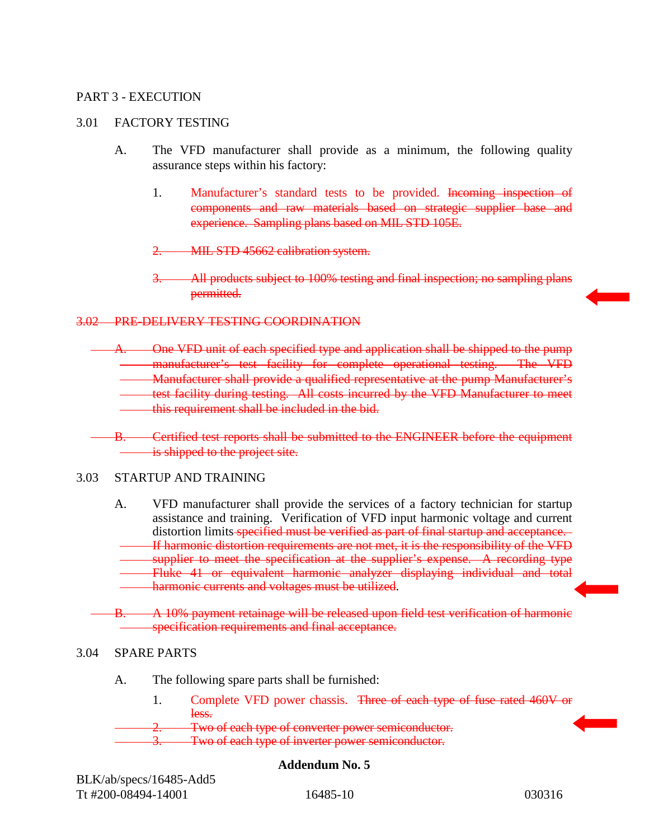## PART 3 - EXECUTION

## 3.01 FACTORY TESTING

- A. The VFD manufacturer shall provide as a minimum, the following quality assurance steps within his factory:
	- 1. Manufacturer's standard tests to be provided. Incoming inspection of components and raw materials based on strategic supplier base and experience. Sampling plans based on MIL STD 105E.
	- 2. MIL STD 45662 calibration system.
	- All products subject to 100% testing and final inspection; no sampling plans permitted.

## 3.02 PRE-DELIVERY TESTING COORDINATION

- A. One VFD unit of each specified type and application shall be shipped to the pump manufacturer's test facility for complete operational testing. The VFD Manufacturer shall provide a qualified representative at the pump Manufacturer's test facility during testing. All costs incurred by the VFD Manufacturer to meet this requirement shall be included in the bid.
- B. Certified test reports shall be submitted to the ENGINEER before the equipment is shipped to the project site.

#### 3.03 STARTUP AND TRAINING

- A. VFD manufacturer shall provide the services of a factory technician for startup assistance and training. Verification of VFD input harmonic voltage and current distortion limits specified must be verified as part of final startup and acceptance. If harmonic distortion requirements are not met, it is the responsibility of the VFD supplier to meet the specification at the supplier's expense. A recording type Fluke 41 or equivalent harmonic analyzer displaying individual and total harmonic currents and voltages must be utilized.
- B. A 10% payment retainage will be released upon field test verification of harmonic specification requirements and final acceptance.

#### 3.04 SPARE PARTS

- A. The following spare parts shall be furnished:
	- 1. Complete VFD power chassis. Three of each type of fuse rated 460V or less.

Two of each type of converter power semiconductor.

Two of each type of inverter power semiconductor.